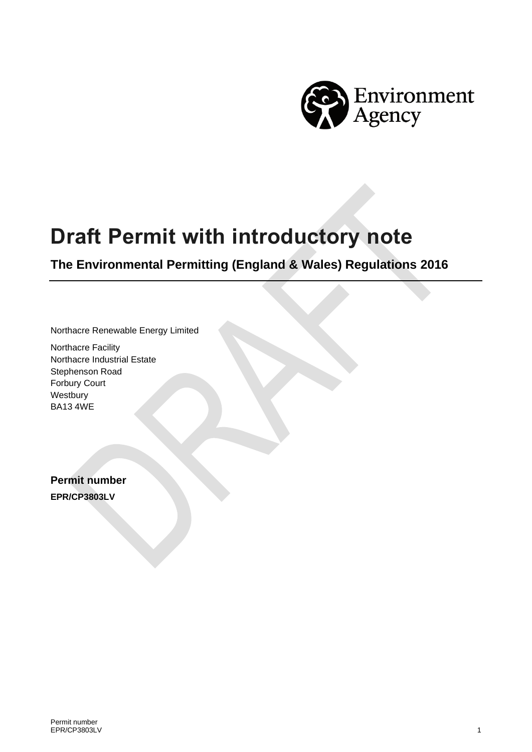

# **Draft Permit with introductory note**

**The Environmental Permitting (England & Wales) Regulations 2016**

Northacre Renewable Energy Limited

Northacre Facility Northacre Industrial Estate Stephenson Road Forbury Court Westbury BA13 4WE

**Permit number EPR/CP3803LV**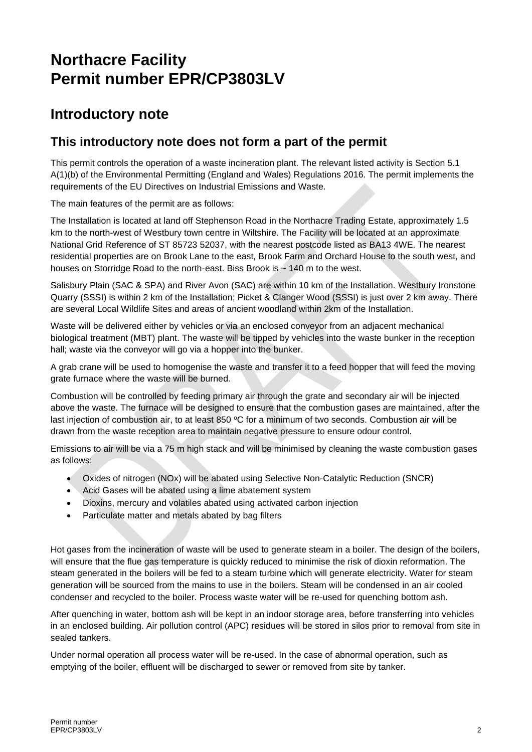## **Northacre Facility Permit number EPR/CP3803LV**

### **Introductory note**

#### **This introductory note does not form a part of the permit**

This permit controls the operation of a waste incineration plant. The relevant listed activity is Section 5.1 A(1)(b) of the Environmental Permitting (England and Wales) Regulations 2016. The permit implements the requirements of the EU Directives on Industrial Emissions and Waste.

The main features of the permit are as follows:

The Installation is located at land off Stephenson Road in the Northacre Trading Estate, approximately 1.5 km to the north-west of Westbury town centre in Wiltshire. The Facility will be located at an approximate National Grid Reference of ST 85723 52037, with the nearest postcode listed as BA13 4WE. The nearest residential properties are on Brook Lane to the east, Brook Farm and Orchard House to the south west, and houses on Storridge Road to the north-east. Biss Brook is ~ 140 m to the west.

Salisbury Plain (SAC & SPA) and River Avon (SAC) are within 10 km of the Installation. Westbury Ironstone Quarry (SSSI) is within 2 km of the Installation; Picket & Clanger Wood (SSSI) is just over 2 km away. There are several Local Wildlife Sites and areas of ancient woodland within 2km of the Installation.

Waste will be delivered either by vehicles or via an enclosed conveyor from an adjacent mechanical biological treatment (MBT) plant. The waste will be tipped by vehicles into the waste bunker in the reception hall; waste via the conveyor will go via a hopper into the bunker.

A grab crane will be used to homogenise the waste and transfer it to a feed hopper that will feed the moving grate furnace where the waste will be burned.

Combustion will be controlled by feeding primary air through the grate and secondary air will be injected above the waste. The furnace will be designed to ensure that the combustion gases are maintained, after the last injection of combustion air, to at least 850 °C for a minimum of two seconds. Combustion air will be drawn from the waste reception area to maintain negative pressure to ensure odour control.

Emissions to air will be via a 75 m high stack and will be minimised by cleaning the waste combustion gases as follows:

- Oxides of nitrogen (NOx) will be abated using Selective Non-Catalytic Reduction (SNCR)
- Acid Gases will be abated using a lime abatement system
- Dioxins, mercury and volatiles abated using activated carbon injection
- Particulate matter and metals abated by bag filters

Hot gases from the incineration of waste will be used to generate steam in a boiler. The design of the boilers, will ensure that the flue gas temperature is quickly reduced to minimise the risk of dioxin reformation. The steam generated in the boilers will be fed to a steam turbine which will generate electricity. Water for steam generation will be sourced from the mains to use in the boilers. Steam will be condensed in an air cooled condenser and recycled to the boiler. Process waste water will be re-used for quenching bottom ash.

After quenching in water, bottom ash will be kept in an indoor storage area, before transferring into vehicles in an enclosed building. Air pollution control (APC) residues will be stored in silos prior to removal from site in sealed tankers.

Under normal operation all process water will be re-used. In the case of abnormal operation, such as emptying of the boiler, effluent will be discharged to sewer or removed from site by tanker.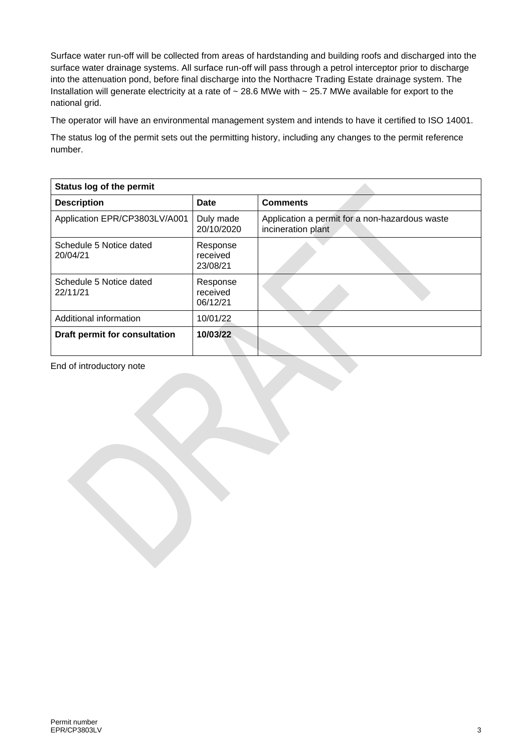Surface water run-off will be collected from areas of hardstanding and building roofs and discharged into the surface water drainage systems. All surface run-off will pass through a petrol interceptor prior to discharge into the attenuation pond, before final discharge into the Northacre Trading Estate drainage system. The Installation will generate electricity at a rate of ~ 28.6 MWe with ~ 25.7 MWe available for export to the national grid.

The operator will have an environmental management system and intends to have it certified to ISO 14001.

The status log of the permit sets out the permitting history, including any changes to the permit reference number.

| Status log of the permit            |                                  |                                                                      |
|-------------------------------------|----------------------------------|----------------------------------------------------------------------|
| <b>Description</b>                  | <b>Date</b>                      | <b>Comments</b>                                                      |
| Application EPR/CP3803LV/A001       | Duly made<br>20/10/2020          | Application a permit for a non-hazardous waste<br>incineration plant |
| Schedule 5 Notice dated<br>20/04/21 | Response<br>received<br>23/08/21 |                                                                      |
| Schedule 5 Notice dated<br>22/11/21 | Response<br>received<br>06/12/21 |                                                                      |
| Additional information              | 10/01/22                         |                                                                      |
| Draft permit for consultation       | 10/03/22                         |                                                                      |

End of introductory note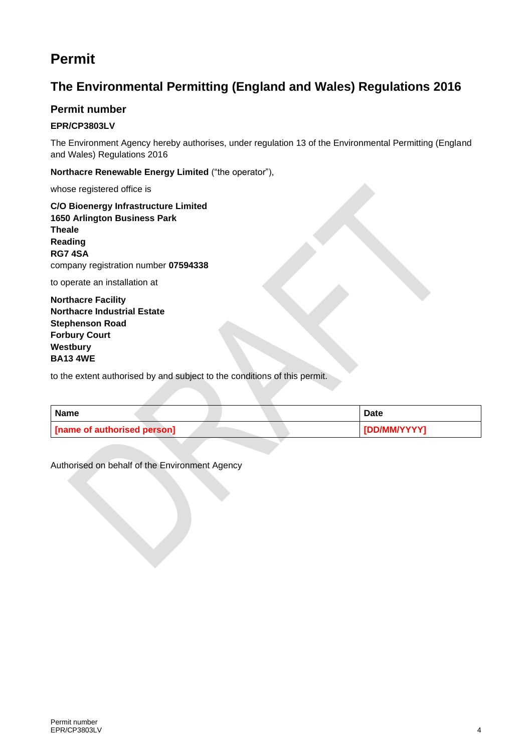### **Permit**

### **The Environmental Permitting (England and Wales) Regulations 2016**

#### **Permit number**

#### **EPR/CP3803LV**

The Environment Agency hereby authorises, under regulation 13 of the Environmental Permitting (England and Wales) Regulations 2016

**Northacre Renewable Energy Limited** ("the operator"),

whose registered office is

**C/O Bioenergy Infrastructure Limited 1650 Arlington Business Park Theale Reading RG7 4SA** company registration number **07594338**

to operate an installation at

**Northacre Facility Northacre Industrial Estate Stephenson Road Forbury Court Westbury BA13 4WE**

to the extent authorised by and subject to the conditions of this permit.

| <b>Name</b>                 | <b>Date</b>  |
|-----------------------------|--------------|
| [name of authorised person] | [DD/MM/YYYY] |

Authorised on behalf of the Environment Agency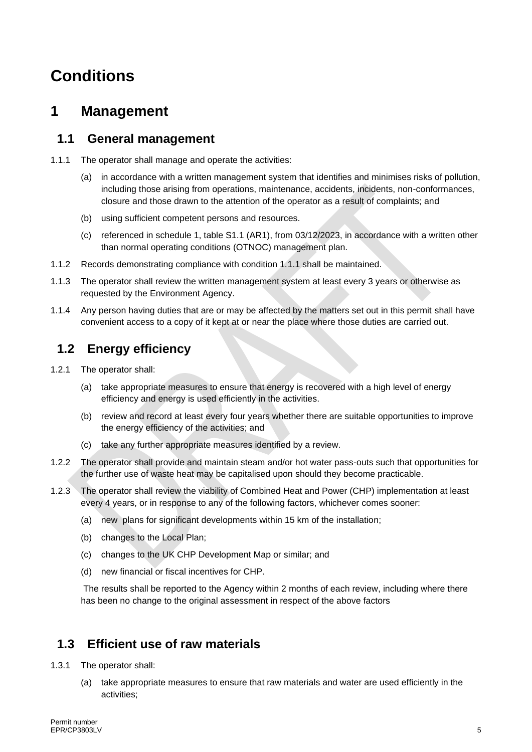## **Conditions**

### **1 Management**

#### **1.1 General management**

- 1.1.1 The operator shall manage and operate the activities:
	- (a) in accordance with a written management system that identifies and minimises risks of pollution, including those arising from operations, maintenance, accidents, incidents, non-conformances, closure and those drawn to the attention of the operator as a result of complaints; and
	- (b) using sufficient competent persons and resources.
	- (c) referenced in schedule 1, table S1.1 (AR1), from 03/12/2023, in accordance with a written other than normal operating conditions (OTNOC) management plan.
- 1.1.2 Records demonstrating compliance with condition 1.1.1 shall be maintained.
- 1.1.3 The operator shall review the written management system at least every 3 years or otherwise as requested by the Environment Agency.
- 1.1.4 Any person having duties that are or may be affected by the matters set out in this permit shall have convenient access to a copy of it kept at or near the place where those duties are carried out.

#### **1.2 Energy efficiency**

- 1.2.1 The operator shall:
	- (a) take appropriate measures to ensure that energy is recovered with a high level of energy efficiency and energy is used efficiently in the activities.
	- (b) review and record at least every four years whether there are suitable opportunities to improve the energy efficiency of the activities; and
	- (c) take any further appropriate measures identified by a review.
- 1.2.2 The operator shall provide and maintain steam and/or hot water pass-outs such that opportunities for the further use of waste heat may be capitalised upon should they become practicable.
- 1.2.3 The operator shall review the viability of Combined Heat and Power (CHP) implementation at least every 4 years, or in response to any of the following factors, whichever comes sooner:
	- (a) new plans for significant developments within 15 km of the installation;
	- (b) changes to the Local Plan;
	- (c) changes to the UK CHP Development Map or similar; and
	- (d) new financial or fiscal incentives for CHP.

The results shall be reported to the Agency within 2 months of each review, including where there has been no change to the original assessment in respect of the above factors

### **1.3 Efficient use of raw materials**

- 1.3.1 The operator shall:
	- (a) take appropriate measures to ensure that raw materials and water are used efficiently in the activities;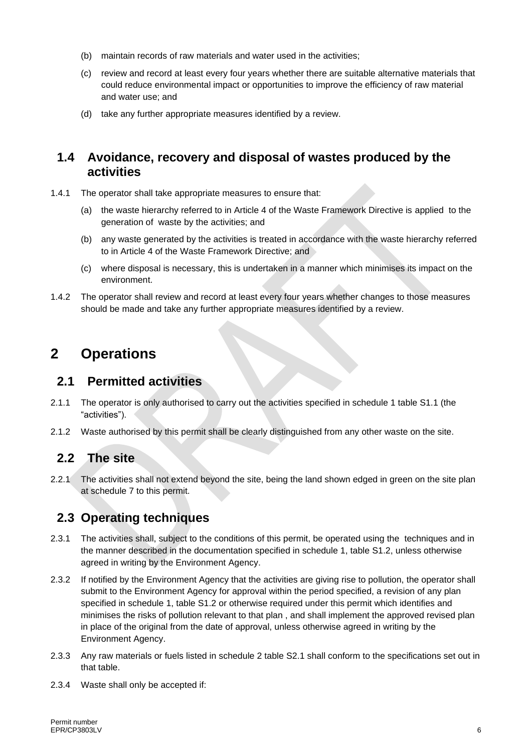- (b) maintain records of raw materials and water used in the activities;
- (c) review and record at least every four years whether there are suitable alternative materials that could reduce environmental impact or opportunities to improve the efficiency of raw material and water use; and
- (d) take any further appropriate measures identified by a review.

#### **1.4 Avoidance, recovery and disposal of wastes produced by the activities**

- 1.4.1 The operator shall take appropriate measures to ensure that:
	- (a) the waste hierarchy referred to in Article 4 of the Waste Framework Directive is applied to the generation of waste by the activities; and
	- (b) any waste generated by the activities is treated in accordance with the waste hierarchy referred to in Article 4 of the Waste Framework Directive; and
	- (c) where disposal is necessary, this is undertaken in a manner which minimises its impact on the environment.
- 1.4.2 The operator shall review and record at least every four years whether changes to those measures should be made and take any further appropriate measures identified by a review.

### **2 Operations**

#### **2.1 Permitted activities**

- 2.1.1 The operator is only authorised to carry out the activities specified in schedule 1 table S1.1 (the "activities").
- 2.1.2 Waste authorised by this permit shall be clearly distinguished from any other waste on the site.

#### **2.2 The site**

2.2.1 The activities shall not extend beyond the site, being the land shown edged in green on the site plan at schedule 7 to this permit.

### **2.3 Operating techniques**

- 2.3.1 The activities shall, subject to the conditions of this permit, be operated using the techniques and in the manner described in the documentation specified in schedule 1, table S1.2, unless otherwise agreed in writing by the Environment Agency.
- 2.3.2 If notified by the Environment Agency that the activities are giving rise to pollution, the operator shall submit to the Environment Agency for approval within the period specified, a revision of any plan specified in schedule 1, table S1.2 or otherwise required under this permit which identifies and minimises the risks of pollution relevant to that plan , and shall implement the approved revised plan in place of the original from the date of approval, unless otherwise agreed in writing by the Environment Agency.
- 2.3.3 Any raw materials or fuels listed in schedule 2 table S2.1 shall conform to the specifications set out in that table.
- 2.3.4 Waste shall only be accepted if: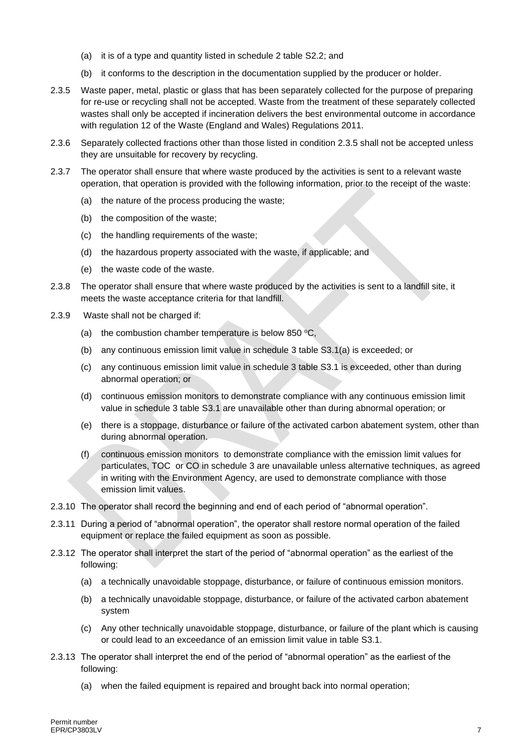- (a) it is of a type and quantity listed in schedule 2 table S2.2; and
- (b) it conforms to the description in the documentation supplied by the producer or holder.
- 2.3.5 Waste paper, metal, plastic or glass that has been separately collected for the purpose of preparing for re-use or recycling shall not be accepted. Waste from the treatment of these separately collected wastes shall only be accepted if incineration delivers the best environmental outcome in accordance with regulation 12 of the Waste (England and Wales) Regulations 2011.
- 2.3.6 Separately collected fractions other than those listed in condition 2.3.5 shall not be accepted unless they are unsuitable for recovery by recycling.
- 2.3.7 The operator shall ensure that where waste produced by the activities is sent to a relevant waste operation, that operation is provided with the following information, prior to the receipt of the waste:
	- (a) the nature of the process producing the waste;
	- (b) the composition of the waste;
	- (c) the handling requirements of the waste;
	- (d) the hazardous property associated with the waste, if applicable; and
	- (e) the waste code of the waste.
- 2.3.8 The operator shall ensure that where waste produced by the activities is sent to a landfill site, it meets the waste acceptance criteria for that landfill.
- 2.3.9 Waste shall not be charged if:
	- (a) the combustion chamber temperature is below 850  $\,^{\circ}C$ ,
	- (b) any continuous emission limit value in schedule 3 table S3.1(a) is exceeded; or
	- (c) any continuous emission limit value in schedule 3 table S3.1 is exceeded, other than during abnormal operation; or
	- (d) continuous emission monitors to demonstrate compliance with any continuous emission limit value in schedule 3 table S3.1 are unavailable other than during abnormal operation; or
	- (e) there is a stoppage, disturbance or failure of the activated carbon abatement system, other than during abnormal operation.
	- (f) continuous emission monitors to demonstrate compliance with the emission limit values for particulates, TOC or CO in schedule 3 are unavailable unless alternative techniques, as agreed in writing with the Environment Agency, are used to demonstrate compliance with those emission limit values.
- 2.3.10 The operator shall record the beginning and end of each period of "abnormal operation".
- 2.3.11 During a period of "abnormal operation", the operator shall restore normal operation of the failed equipment or replace the failed equipment as soon as possible.
- 2.3.12 The operator shall interpret the start of the period of "abnormal operation" as the earliest of the following:
	- (a) a technically unavoidable stoppage, disturbance, or failure of continuous emission monitors.
	- (b) a technically unavoidable stoppage, disturbance, or failure of the activated carbon abatement system
	- (c) Any other technically unavoidable stoppage, disturbance, or failure of the plant which is causing or could lead to an exceedance of an emission limit value in table S3.1.
- 2.3.13 The operator shall interpret the end of the period of "abnormal operation" as the earliest of the following:
	- (a) when the failed equipment is repaired and brought back into normal operation;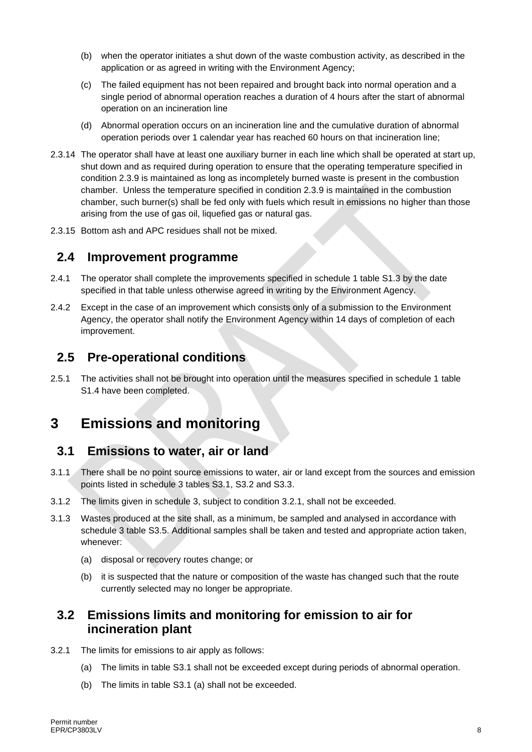- (b) when the operator initiates a shut down of the waste combustion activity, as described in the application or as agreed in writing with the Environment Agency;
- (c) The failed equipment has not been repaired and brought back into normal operation and a single period of abnormal operation reaches a duration of 4 hours after the start of abnormal operation on an incineration line
- (d) Abnormal operation occurs on an incineration line and the cumulative duration of abnormal operation periods over 1 calendar year has reached 60 hours on that incineration line;
- 2.3.14 The operator shall have at least one auxiliary burner in each line which shall be operated at start up, shut down and as required during operation to ensure that the operating temperature specified in condition 2.3.9 is maintained as long as incompletely burned waste is present in the combustion chamber. Unless the temperature specified in condition 2.3.9 is maintained in the combustion chamber, such burner(s) shall be fed only with fuels which result in emissions no higher than those arising from the use of gas oil, liquefied gas or natural gas.
- 2.3.15 Bottom ash and APC residues shall not be mixed.

#### **2.4 Improvement programme**

- 2.4.1 The operator shall complete the improvements specified in schedule 1 table S1.3 by the date specified in that table unless otherwise agreed in writing by the Environment Agency.
- 2.4.2 Except in the case of an improvement which consists only of a submission to the Environment Agency, the operator shall notify the Environment Agency within 14 days of completion of each improvement.

#### **2.5 Pre-operational conditions**

2.5.1 The activities shall not be brought into operation until the measures specified in schedule 1 table S1.4 have been completed.

### **3 Emissions and monitoring**

#### **3.1 Emissions to water, air or land**

- 3.1.1 There shall be no point source emissions to water, air or land except from the sources and emission points listed in schedule 3 tables S3.1, S3.2 and S3.3.
- 3.1.2 The limits given in schedule 3, subject to condition 3.2.1, shall not be exceeded.
- 3.1.3 Wastes produced at the site shall, as a minimum, be sampled and analysed in accordance with schedule 3 table S3.5. Additional samples shall be taken and tested and appropriate action taken, whenever:
	- (a) disposal or recovery routes change; or
	- (b) it is suspected that the nature or composition of the waste has changed such that the route currently selected may no longer be appropriate.

#### **3.2 Emissions limits and monitoring for emission to air for incineration plant**

- 3.2.1 The limits for emissions to air apply as follows:
	- (a) The limits in table S3.1 shall not be exceeded except during periods of abnormal operation.
	- (b) The limits in table S3.1 (a) shall not be exceeded.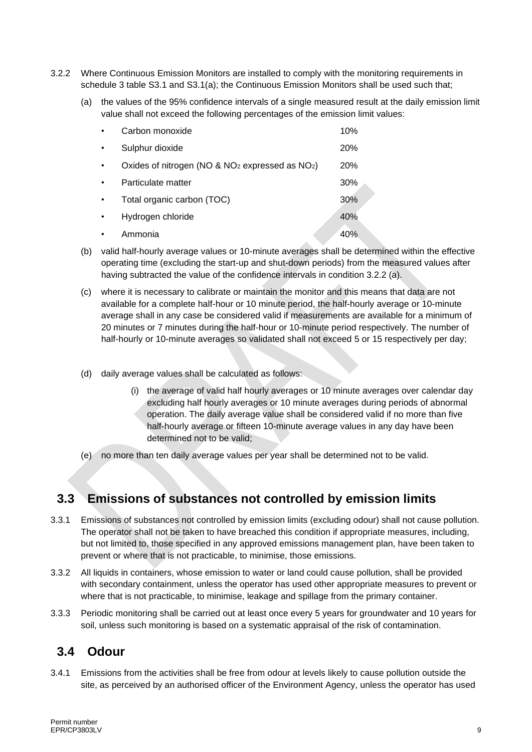- 3.2.2 Where Continuous Emission Monitors are installed to comply with the monitoring requirements in schedule 3 table S3.1 and S3.1(a); the Continuous Emission Monitors shall be used such that;
	- (a) the values of the 95% confidence intervals of a single measured result at the daily emission limit value shall not exceed the following percentages of the emission limit values:

| Carbon monoxide                                     | 10%        |
|-----------------------------------------------------|------------|
| Sulphur dioxide                                     | <b>20%</b> |
| Oxides of nitrogen (NO & $NO2$ expressed as $NO2$ ) | <b>20%</b> |
| Particulate matter                                  | 30%        |
| Total organic carbon (TOC)                          | 30%        |
| Hydrogen chloride                                   | 40%        |
| Ammonia                                             | 40%        |

- (b) valid half-hourly average values or 10-minute averages shall be determined within the effective operating time (excluding the start-up and shut-down periods) from the measured values after having subtracted the value of the confidence intervals in condition 3.2.2 (a).
- (c) where it is necessary to calibrate or maintain the monitor and this means that data are not available for a complete half-hour or 10 minute period, the half-hourly average or 10-minute average shall in any case be considered valid if measurements are available for a minimum of 20 minutes or 7 minutes during the half-hour or 10-minute period respectively. The number of half-hourly or 10-minute averages so validated shall not exceed 5 or 15 respectively per day;
- (d) daily average values shall be calculated as follows:
	- (i) the average of valid half hourly averages or 10 minute averages over calendar day excluding half hourly averages or 10 minute averages during periods of abnormal operation. The daily average value shall be considered valid if no more than five half-hourly average or fifteen 10-minute average values in any day have been determined not to be valid;
- (e) no more than ten daily average values per year shall be determined not to be valid.

#### **3.3 Emissions of substances not controlled by emission limits**

- 3.3.1 Emissions of substances not controlled by emission limits (excluding odour) shall not cause pollution. The operator shall not be taken to have breached this condition if appropriate measures, including, but not limited to, those specified in any approved emissions management plan, have been taken to prevent or where that is not practicable, to minimise, those emissions.
- 3.3.2 All liquids in containers, whose emission to water or land could cause pollution, shall be provided with secondary containment, unless the operator has used other appropriate measures to prevent or where that is not practicable, to minimise, leakage and spillage from the primary container.
- 3.3.3 Periodic monitoring shall be carried out at least once every 5 years for groundwater and 10 years for soil, unless such monitoring is based on a systematic appraisal of the risk of contamination.

#### **3.4 Odour**

3.4.1 Emissions from the activities shall be free from odour at levels likely to cause pollution outside the site, as perceived by an authorised officer of the Environment Agency, unless the operator has used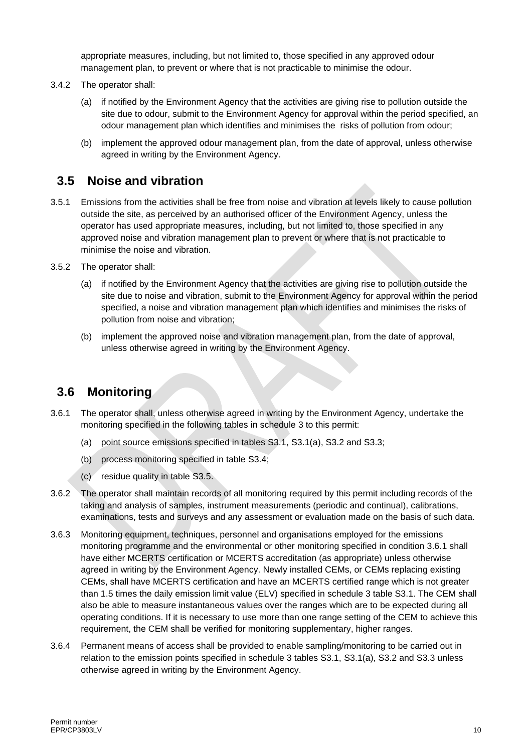appropriate measures, including, but not limited to, those specified in any approved odour management plan, to prevent or where that is not practicable to minimise the odour.

- 3.4.2 The operator shall:
	- (a) if notified by the Environment Agency that the activities are giving rise to pollution outside the site due to odour, submit to the Environment Agency for approval within the period specified, an odour management plan which identifies and minimises the risks of pollution from odour;
	- (b) implement the approved odour management plan, from the date of approval, unless otherwise agreed in writing by the Environment Agency.

#### **3.5 Noise and vibration**

- 3.5.1 Emissions from the activities shall be free from noise and vibration at levels likely to cause pollution outside the site, as perceived by an authorised officer of the Environment Agency, unless the operator has used appropriate measures, including, but not limited to, those specified in any approved noise and vibration management plan to prevent or where that is not practicable to minimise the noise and vibration.
- 3.5.2 The operator shall:
	- (a) if notified by the Environment Agency that the activities are giving rise to pollution outside the site due to noise and vibration, submit to the Environment Agency for approval within the period specified, a noise and vibration management plan which identifies and minimises the risks of pollution from noise and vibration;
	- (b) implement the approved noise and vibration management plan, from the date of approval, unless otherwise agreed in writing by the Environment Agency.

#### **3.6 Monitoring**

- 3.6.1 The operator shall, unless otherwise agreed in writing by the Environment Agency, undertake the monitoring specified in the following tables in schedule 3 to this permit:
	- (a) point source emissions specified in tables S3.1, S3.1(a), S3.2 and S3.3;
	- (b) process monitoring specified in table S3.4;
	- (c) residue quality in table S3.5.
- 3.6.2 The operator shall maintain records of all monitoring required by this permit including records of the taking and analysis of samples, instrument measurements (periodic and continual), calibrations, examinations, tests and surveys and any assessment or evaluation made on the basis of such data.
- 3.6.3 Monitoring equipment, techniques, personnel and organisations employed for the emissions monitoring programme and the environmental or other monitoring specified in condition 3.6.1 shall have either MCERTS certification or MCERTS accreditation (as appropriate) unless otherwise agreed in writing by the Environment Agency. Newly installed CEMs, or CEMs replacing existing CEMs, shall have MCERTS certification and have an MCERTS certified range which is not greater than 1.5 times the daily emission limit value (ELV) specified in schedule 3 table S3.1. The CEM shall also be able to measure instantaneous values over the ranges which are to be expected during all operating conditions. If it is necessary to use more than one range setting of the CEM to achieve this requirement, the CEM shall be verified for monitoring supplementary, higher ranges.
- 3.6.4 Permanent means of access shall be provided to enable sampling/monitoring to be carried out in relation to the emission points specified in schedule 3 tables S3.1, S3.1(a), S3.2 and S3.3 unless otherwise agreed in writing by the Environment Agency.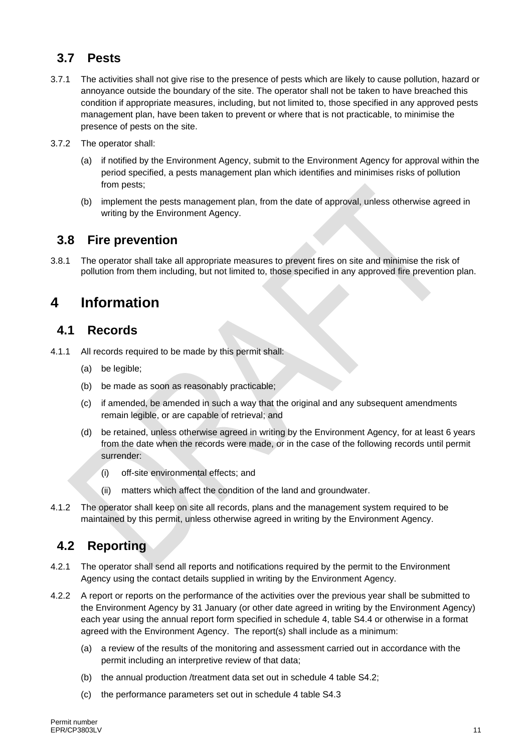### **3.7 Pests**

- 3.7.1 The activities shall not give rise to the presence of pests which are likely to cause pollution, hazard or annoyance outside the boundary of the site. The operator shall not be taken to have breached this condition if appropriate measures, including, but not limited to, those specified in any approved pests management plan, have been taken to prevent or where that is not practicable, to minimise the presence of pests on the site.
- 3.7.2 The operator shall:
	- (a) if notified by the Environment Agency, submit to the Environment Agency for approval within the period specified, a pests management plan which identifies and minimises risks of pollution from pests;
	- (b) implement the pests management plan, from the date of approval, unless otherwise agreed in writing by the Environment Agency.

#### **3.8 Fire prevention**

3.8.1 The operator shall take all appropriate measures to prevent fires on site and minimise the risk of pollution from them including, but not limited to, those specified in any approved fire prevention plan.

### **4 Information**

#### **4.1 Records**

- 4.1.1 All records required to be made by this permit shall:
	- (a) be legible:
	- (b) be made as soon as reasonably practicable;
	- (c) if amended, be amended in such a way that the original and any subsequent amendments remain legible, or are capable of retrieval; and
	- (d) be retained, unless otherwise agreed in writing by the Environment Agency, for at least 6 years from the date when the records were made, or in the case of the following records until permit surrender:
		- (i) off-site environmental effects; and
		- (ii) matters which affect the condition of the land and groundwater.
- 4.1.2 The operator shall keep on site all records, plans and the management system required to be maintained by this permit, unless otherwise agreed in writing by the Environment Agency.

#### **4.2 Reporting**

- 4.2.1 The operator shall send all reports and notifications required by the permit to the Environment Agency using the contact details supplied in writing by the Environment Agency.
- 4.2.2 A report or reports on the performance of the activities over the previous year shall be submitted to the Environment Agency by 31 January (or other date agreed in writing by the Environment Agency) each year using the annual report form specified in schedule 4, table S4.4 or otherwise in a format agreed with the Environment Agency. The report(s) shall include as a minimum:
	- (a) a review of the results of the monitoring and assessment carried out in accordance with the permit including an interpretive review of that data;
	- (b) the annual production /treatment data set out in schedule 4 table S4.2;
	- (c) the performance parameters set out in schedule 4 table S4.3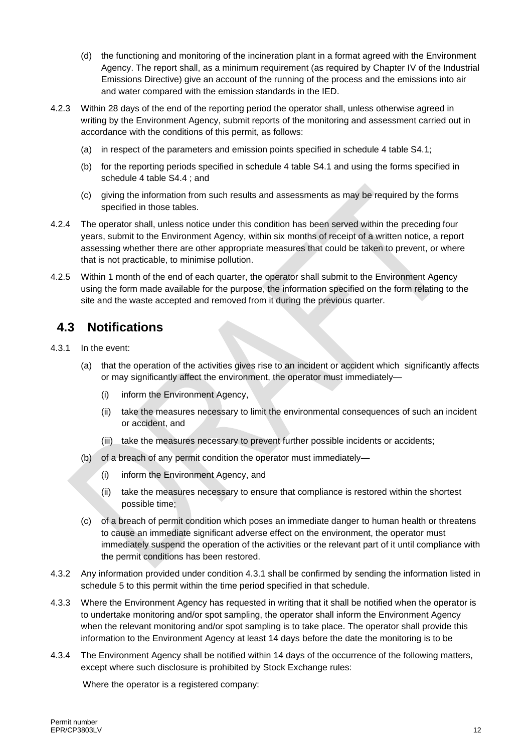- (d) the functioning and monitoring of the incineration plant in a format agreed with the Environment Agency. The report shall, as a minimum requirement (as required by Chapter IV of the Industrial Emissions Directive) give an account of the running of the process and the emissions into air and water compared with the emission standards in the IED.
- 4.2.3 Within 28 days of the end of the reporting period the operator shall, unless otherwise agreed in writing by the Environment Agency, submit reports of the monitoring and assessment carried out in accordance with the conditions of this permit, as follows:
	- (a) in respect of the parameters and emission points specified in schedule 4 table S4.1;
	- (b) for the reporting periods specified in schedule 4 table S4.1 and using the forms specified in schedule 4 table S4.4 ; and
	- (c) giving the information from such results and assessments as may be required by the forms specified in those tables.
- 4.2.4 The operator shall, unless notice under this condition has been served within the preceding four years, submit to the Environment Agency, within six months of receipt of a written notice, a report assessing whether there are other appropriate measures that could be taken to prevent, or where that is not practicable, to minimise pollution.
- 4.2.5 Within 1 month of the end of each quarter, the operator shall submit to the Environment Agency using the form made available for the purpose, the information specified on the form relating to the site and the waste accepted and removed from it during the previous quarter.

### **4.3 Notifications**

- 4.3.1 In the event:
	- (a) that the operation of the activities gives rise to an incident or accident which significantly affects or may significantly affect the environment, the operator must immediately—
		- (i) inform the Environment Agency,
		- (ii) take the measures necessary to limit the environmental consequences of such an incident or accident, and
		- (iii) take the measures necessary to prevent further possible incidents or accidents;
	- (b) of a breach of any permit condition the operator must immediately—
		- (i) inform the Environment Agency, and
		- (ii) take the measures necessary to ensure that compliance is restored within the shortest possible time;
	- (c) of a breach of permit condition which poses an immediate danger to human health or threatens to cause an immediate significant adverse effect on the environment, the operator must immediately suspend the operation of the activities or the relevant part of it until compliance with the permit conditions has been restored.
- 4.3.2 Any information provided under condition 4.3.1 shall be confirmed by sending the information listed in schedule 5 to this permit within the time period specified in that schedule.
- 4.3.3 Where the Environment Agency has requested in writing that it shall be notified when the operator is to undertake monitoring and/or spot sampling, the operator shall inform the Environment Agency when the relevant monitoring and/or spot sampling is to take place. The operator shall provide this information to the Environment Agency at least 14 days before the date the monitoring is to be
- 4.3.4 The Environment Agency shall be notified within 14 days of the occurrence of the following matters, except where such disclosure is prohibited by Stock Exchange rules:

Where the operator is a registered company: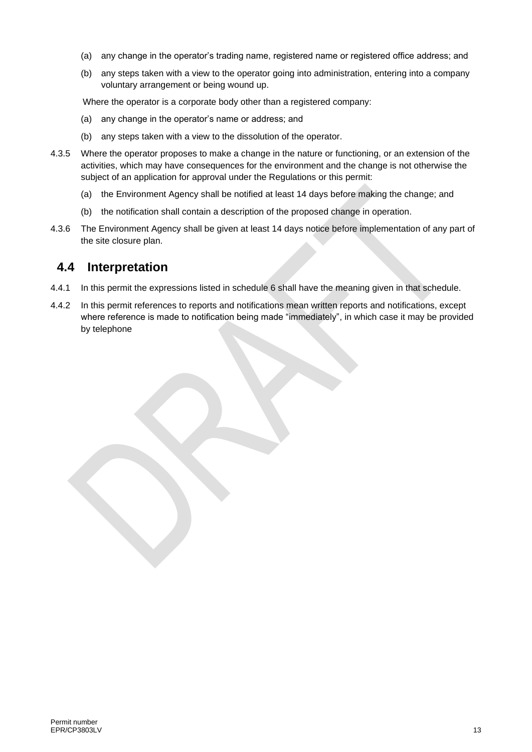- (a) any change in the operator's trading name, registered name or registered office address; and
- (b) any steps taken with a view to the operator going into administration, entering into a company voluntary arrangement or being wound up.

Where the operator is a corporate body other than a registered company:

- (a) any change in the operator's name or address; and
- (b) any steps taken with a view to the dissolution of the operator.
- 4.3.5 Where the operator proposes to make a change in the nature or functioning, or an extension of the activities, which may have consequences for the environment and the change is not otherwise the subject of an application for approval under the Regulations or this permit:
	- (a) the Environment Agency shall be notified at least 14 days before making the change; and
	- (b) the notification shall contain a description of the proposed change in operation.
- 4.3.6 The Environment Agency shall be given at least 14 days notice before implementation of any part of the site closure plan.

#### **4.4 Interpretation**

- 4.4.1 In this permit the expressions listed in schedule 6 shall have the meaning given in that schedule.
- 4.4.2 In this permit references to reports and notifications mean written reports and notifications, except where reference is made to notification being made "immediately", in which case it may be provided by telephone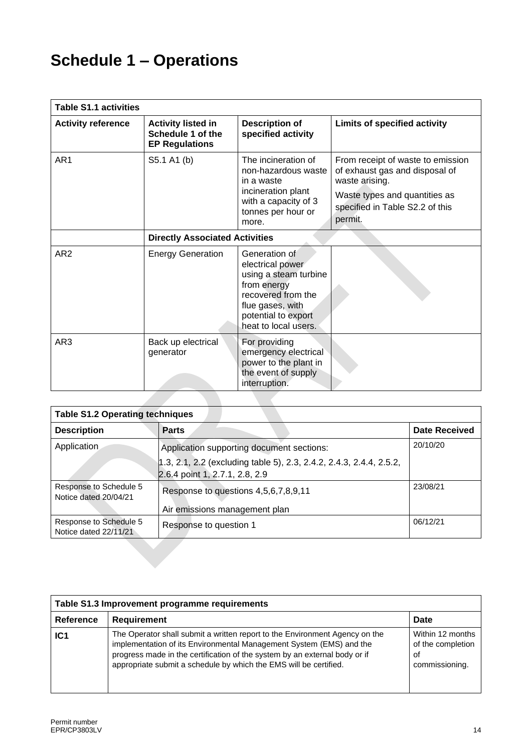# **Schedule 1 – Operations**

| <b>Table S1.1 activities</b> |                                                                         |                                                                                                                                                                    |                                                                                                                                                                      |
|------------------------------|-------------------------------------------------------------------------|--------------------------------------------------------------------------------------------------------------------------------------------------------------------|----------------------------------------------------------------------------------------------------------------------------------------------------------------------|
| <b>Activity reference</b>    | <b>Activity listed in</b><br>Schedule 1 of the<br><b>EP Regulations</b> | <b>Description of</b><br>specified activity                                                                                                                        | Limits of specified activity                                                                                                                                         |
| AR <sub>1</sub>              | S5.1 A1 (b)                                                             | The incineration of<br>non-hazardous waste<br>in a waste<br>incineration plant<br>with a capacity of 3<br>tonnes per hour or<br>more.                              | From receipt of waste to emission<br>of exhaust gas and disposal of<br>waste arising.<br>Waste types and quantities as<br>specified in Table S2.2 of this<br>permit. |
|                              | <b>Directly Associated Activities</b>                                   |                                                                                                                                                                    |                                                                                                                                                                      |
| AR <sub>2</sub>              | <b>Energy Generation</b>                                                | Generation of<br>electrical power<br>using a steam turbine<br>from energy<br>recovered from the<br>flue gases, with<br>potential to export<br>heat to local users. |                                                                                                                                                                      |
| AR <sub>3</sub>              | Back up electrical<br>generator                                         | For providing<br>emergency electrical<br>power to the plant in<br>the event of supply<br>interruption.                                                             |                                                                                                                                                                      |

| <b>Table S1.2 Operating techniques</b>          |                                                                                                       |                      |
|-------------------------------------------------|-------------------------------------------------------------------------------------------------------|----------------------|
| <b>Description</b>                              | <b>Parts</b>                                                                                          | <b>Date Received</b> |
| Application                                     | Application supporting document sections:                                                             | 20/10/20             |
|                                                 | 1.3, 2.1, 2.2 (excluding table 5), 2.3, 2.4.2, 2.4.3, 2.4.4, 2.5.2,<br>2.6.4 point 1, 2.7.1, 2.8, 2.9 |                      |
| Response to Schedule 5<br>Notice dated 20/04/21 | Response to questions 4,5,6,7,8,9,11                                                                  | 23/08/21             |
|                                                 | Air emissions management plan                                                                         |                      |
| Response to Schedule 5<br>Notice dated 22/11/21 | Response to question 1                                                                                | 06/12/21             |
|                                                 |                                                                                                       |                      |

| Table S1.3 Improvement programme requirements |                                                                                                                                                                                                                                                                                                       |                                                               |
|-----------------------------------------------|-------------------------------------------------------------------------------------------------------------------------------------------------------------------------------------------------------------------------------------------------------------------------------------------------------|---------------------------------------------------------------|
| <b>Reference</b>                              | Requirement                                                                                                                                                                                                                                                                                           | Date                                                          |
| IC1                                           | The Operator shall submit a written report to the Environment Agency on the<br>implementation of its Environmental Management System (EMS) and the<br>progress made in the certification of the system by an external body or if<br>appropriate submit a schedule by which the EMS will be certified. | Within 12 months<br>of the completion<br>οf<br>commissioning. |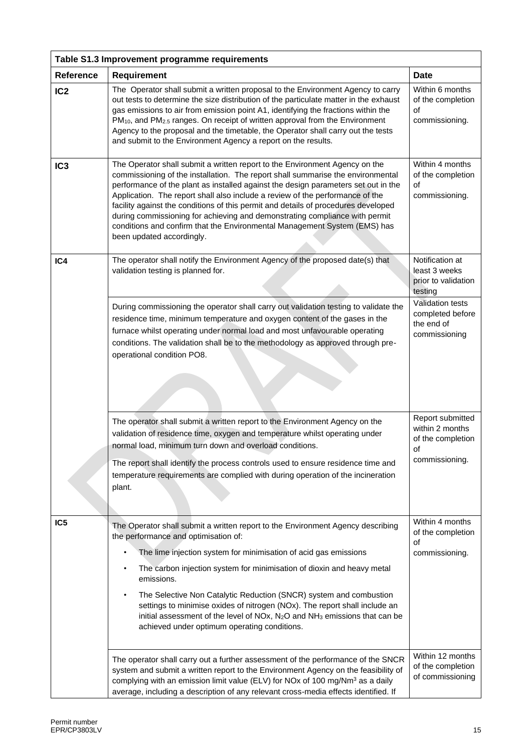| Table S1.3 Improvement programme requirements |                                                                                                                                                                                                                                                                                                                                                                                                                                                                                                                                                                                                                      |                                                                     |  |
|-----------------------------------------------|----------------------------------------------------------------------------------------------------------------------------------------------------------------------------------------------------------------------------------------------------------------------------------------------------------------------------------------------------------------------------------------------------------------------------------------------------------------------------------------------------------------------------------------------------------------------------------------------------------------------|---------------------------------------------------------------------|--|
| <b>Reference</b>                              | Requirement                                                                                                                                                                                                                                                                                                                                                                                                                                                                                                                                                                                                          | <b>Date</b>                                                         |  |
| IC <sub>2</sub>                               | The Operator shall submit a written proposal to the Environment Agency to carry<br>out tests to determine the size distribution of the particulate matter in the exhaust<br>gas emissions to air from emission point A1, identifying the fractions within the<br>PM <sub>10</sub> , and PM <sub>2.5</sub> ranges. On receipt of written approval from the Environment<br>Agency to the proposal and the timetable, the Operator shall carry out the tests<br>and submit to the Environment Agency a report on the results.                                                                                           | Within 6 months<br>of the completion<br>of<br>commissioning.        |  |
| IC <sub>3</sub>                               | The Operator shall submit a written report to the Environment Agency on the<br>commissioning of the installation. The report shall summarise the environmental<br>performance of the plant as installed against the design parameters set out in the<br>Application. The report shall also include a review of the performance of the<br>facility against the conditions of this permit and details of procedures developed<br>during commissioning for achieving and demonstrating compliance with permit<br>conditions and confirm that the Environmental Management System (EMS) has<br>been updated accordingly. | Within 4 months<br>of the completion<br>of<br>commissioning.        |  |
| IC4                                           | The operator shall notify the Environment Agency of the proposed date(s) that<br>validation testing is planned for.                                                                                                                                                                                                                                                                                                                                                                                                                                                                                                  | Notification at<br>least 3 weeks<br>prior to validation<br>testing  |  |
|                                               | During commissioning the operator shall carry out validation testing to validate the<br>residence time, minimum temperature and oxygen content of the gases in the<br>furnace whilst operating under normal load and most unfavourable operating<br>conditions. The validation shall be to the methodology as approved through pre-<br>operational condition PO8.                                                                                                                                                                                                                                                    | Validation tests<br>completed before<br>the end of<br>commissioning |  |
|                                               | The operator shall submit a written report to the Environment Agency on the<br>validation of residence time, oxygen and temperature whilst operating under<br>normal load, minimum turn down and overload conditions.                                                                                                                                                                                                                                                                                                                                                                                                | Report submitted<br>within 2 months<br>of the completion<br>of      |  |
|                                               | The report shall identify the process controls used to ensure residence time and<br>temperature requirements are complied with during operation of the incineration<br>plant.                                                                                                                                                                                                                                                                                                                                                                                                                                        | commissioning.                                                      |  |
| IC <sub>5</sub>                               | The Operator shall submit a written report to the Environment Agency describing<br>the performance and optimisation of:<br>The lime injection system for minimisation of acid gas emissions<br>The carbon injection system for minimisation of dioxin and heavy metal<br>emissions.<br>The Selective Non Catalytic Reduction (SNCR) system and combustion<br>settings to minimise oxides of nitrogen (NOx). The report shall include an<br>initial assessment of the level of NOx, N <sub>2</sub> O and NH <sub>3</sub> emissions that can be<br>achieved under optimum operating conditions.                        | Within 4 months<br>of the completion<br>οf<br>commissioning.        |  |
|                                               | The operator shall carry out a further assessment of the performance of the SNCR<br>system and submit a written report to the Environment Agency on the feasibility of<br>complying with an emission limit value (ELV) for NOx of 100 mg/Nm <sup>3</sup> as a daily<br>average, including a description of any relevant cross-media effects identified. If                                                                                                                                                                                                                                                           | Within 12 months<br>of the completion<br>of commissioning           |  |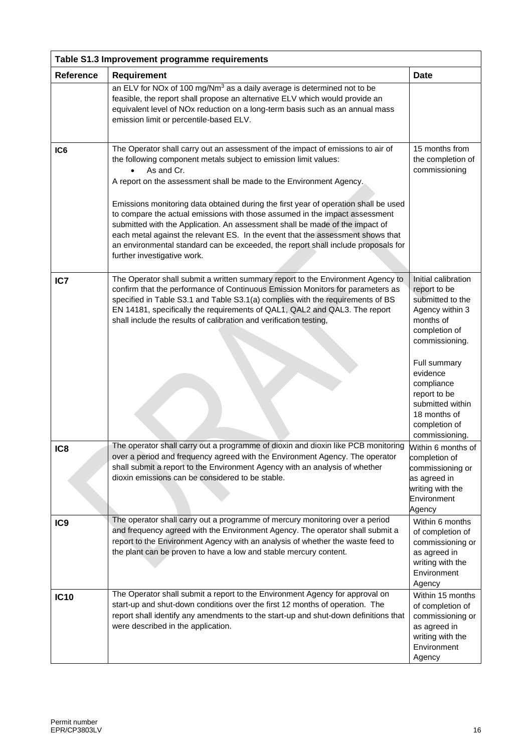| Table S1.3 Improvement programme requirements |                                                                                                                                                                                                                                                                                                                                                                                                                                                                                                                                                                                                                                                                                                       |                                                                                                                                                                                                                                                             |  |
|-----------------------------------------------|-------------------------------------------------------------------------------------------------------------------------------------------------------------------------------------------------------------------------------------------------------------------------------------------------------------------------------------------------------------------------------------------------------------------------------------------------------------------------------------------------------------------------------------------------------------------------------------------------------------------------------------------------------------------------------------------------------|-------------------------------------------------------------------------------------------------------------------------------------------------------------------------------------------------------------------------------------------------------------|--|
| <b>Reference</b>                              | Requirement                                                                                                                                                                                                                                                                                                                                                                                                                                                                                                                                                                                                                                                                                           | <b>Date</b>                                                                                                                                                                                                                                                 |  |
|                                               | an ELV for NOx of 100 mg/Nm <sup>3</sup> as a daily average is determined not to be<br>feasible, the report shall propose an alternative ELV which would provide an<br>equivalent level of NOx reduction on a long-term basis such as an annual mass<br>emission limit or percentile-based ELV.                                                                                                                                                                                                                                                                                                                                                                                                       |                                                                                                                                                                                                                                                             |  |
| IC <sub>6</sub>                               | The Operator shall carry out an assessment of the impact of emissions to air of<br>the following component metals subject to emission limit values:<br>As and Cr.<br>A report on the assessment shall be made to the Environment Agency.<br>Emissions monitoring data obtained during the first year of operation shall be used<br>to compare the actual emissions with those assumed in the impact assessment<br>submitted with the Application. An assessment shall be made of the impact of<br>each metal against the relevant ES. In the event that the assessment shows that<br>an environmental standard can be exceeded, the report shall include proposals for<br>further investigative work. | 15 months from<br>the completion of<br>commissioning                                                                                                                                                                                                        |  |
| IC7                                           | The Operator shall submit a written summary report to the Environment Agency to<br>confirm that the performance of Continuous Emission Monitors for parameters as<br>specified in Table S3.1 and Table S3.1(a) complies with the requirements of BS<br>EN 14181, specifically the requirements of QAL1, QAL2 and QAL3. The report<br>shall include the results of calibration and verification testing,                                                                                                                                                                                                                                                                                               | Initial calibration<br>report to be<br>submitted to the<br>Agency within 3<br>months of<br>completion of<br>commissioning.<br>Full summary<br>evidence<br>compliance<br>report to be<br>submitted within<br>18 months of<br>completion of<br>commissioning. |  |
| IC <sub>8</sub>                               | The operator shall carry out a programme of dioxin and dioxin like PCB monitoring<br>over a period and frequency agreed with the Environment Agency. The operator<br>shall submit a report to the Environment Agency with an analysis of whether<br>dioxin emissions can be considered to be stable.                                                                                                                                                                                                                                                                                                                                                                                                  | Within 6 months of<br>completion of<br>commissioning or<br>as agreed in<br>writing with the<br>Environment<br>Agency                                                                                                                                        |  |
| IC <sub>9</sub>                               | The operator shall carry out a programme of mercury monitoring over a period<br>and frequency agreed with the Environment Agency. The operator shall submit a<br>report to the Environment Agency with an analysis of whether the waste feed to<br>the plant can be proven to have a low and stable mercury content.                                                                                                                                                                                                                                                                                                                                                                                  | Within 6 months<br>of completion of<br>commissioning or<br>as agreed in<br>writing with the<br>Environment<br>Agency                                                                                                                                        |  |
| <b>IC10</b>                                   | The Operator shall submit a report to the Environment Agency for approval on<br>start-up and shut-down conditions over the first 12 months of operation. The<br>report shall identify any amendments to the start-up and shut-down definitions that<br>were described in the application.                                                                                                                                                                                                                                                                                                                                                                                                             | Within 15 months<br>of completion of<br>commissioning or<br>as agreed in<br>writing with the<br>Environment<br>Agency                                                                                                                                       |  |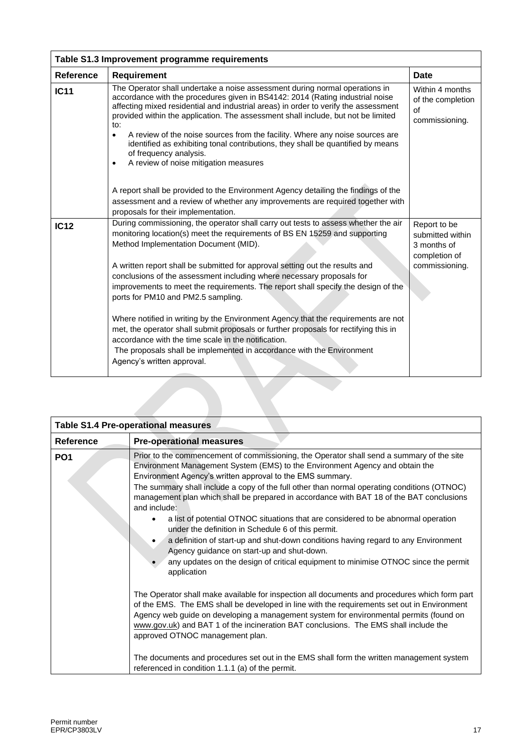| <b>Requirement</b>                                                                                                                                                                                                                                                                                                                              | <b>Date</b>                                                                                                                                                        |
|-------------------------------------------------------------------------------------------------------------------------------------------------------------------------------------------------------------------------------------------------------------------------------------------------------------------------------------------------|--------------------------------------------------------------------------------------------------------------------------------------------------------------------|
| The Operator shall undertake a noise assessment during normal operations in<br>accordance with the procedures given in BS4142: 2014 (Rating industrial noise<br>affecting mixed residential and industrial areas) in order to verify the assessment<br>provided within the application. The assessment shall include, but not be limited<br>to: | Within 4 months<br>of the completion<br>of<br>commissioning.                                                                                                       |
| ٠<br>identified as exhibiting tonal contributions, they shall be quantified by means<br>of frequency analysis.<br>A review of noise mitigation measures<br>$\bullet$                                                                                                                                                                            |                                                                                                                                                                    |
| A report shall be provided to the Environment Agency detailing the findings of the<br>assessment and a review of whether any improvements are required together with<br>proposals for their implementation.                                                                                                                                     |                                                                                                                                                                    |
| monitoring location(s) meet the requirements of BS EN 15259 and supporting<br>Method Implementation Document (MID).                                                                                                                                                                                                                             | Report to be<br>submitted within<br>3 months of<br>completion of                                                                                                   |
| A written report shall be submitted for approval setting out the results and<br>conclusions of the assessment including where necessary proposals for<br>improvements to meet the requirements. The report shall specify the design of the<br>ports for PM10 and PM2.5 sampling.                                                                | commissioning.                                                                                                                                                     |
| Where notified in writing by the Environment Agency that the requirements are not<br>met, the operator shall submit proposals or further proposals for rectifying this in<br>accordance with the time scale in the notification.<br>The proposals shall be implemented in accordance with the Environment                                       |                                                                                                                                                                    |
|                                                                                                                                                                                                                                                                                                                                                 | A review of the noise sources from the facility. Where any noise sources are<br>During commissioning, the operator shall carry out tests to assess whether the air |

|                  | <b>Table S1.4 Pre-operational measures</b>                                                                                                                                                                                                                                                                                                                                                                                                                                                                                                                                                                                                                                                                                                                                                                                            |
|------------------|---------------------------------------------------------------------------------------------------------------------------------------------------------------------------------------------------------------------------------------------------------------------------------------------------------------------------------------------------------------------------------------------------------------------------------------------------------------------------------------------------------------------------------------------------------------------------------------------------------------------------------------------------------------------------------------------------------------------------------------------------------------------------------------------------------------------------------------|
| <b>Reference</b> | <b>Pre-operational measures</b>                                                                                                                                                                                                                                                                                                                                                                                                                                                                                                                                                                                                                                                                                                                                                                                                       |
| PO <sub>1</sub>  | Prior to the commencement of commissioning, the Operator shall send a summary of the site<br>Environment Management System (EMS) to the Environment Agency and obtain the<br>Environment Agency's written approval to the EMS summary.<br>The summary shall include a copy of the full other than normal operating conditions (OTNOC)<br>management plan which shall be prepared in accordance with BAT 18 of the BAT conclusions<br>and include:<br>a list of potential OTNOC situations that are considered to be abnormal operation<br>under the definition in Schedule 6 of this permit.<br>a definition of start-up and shut-down conditions having regard to any Environment<br>Agency guidance on start-up and shut-down.<br>any updates on the design of critical equipment to minimise OTNOC since the permit<br>application |
|                  | The Operator shall make available for inspection all documents and procedures which form part<br>of the EMS. The EMS shall be developed in line with the requirements set out in Environment<br>Agency web guide on developing a management system for environmental permits (found on<br>www.gov.uk) and BAT 1 of the incineration BAT conclusions. The EMS shall include the<br>approved OTNOC management plan.<br>The documents and procedures set out in the EMS shall form the written management system<br>referenced in condition 1.1.1 (a) of the permit.                                                                                                                                                                                                                                                                     |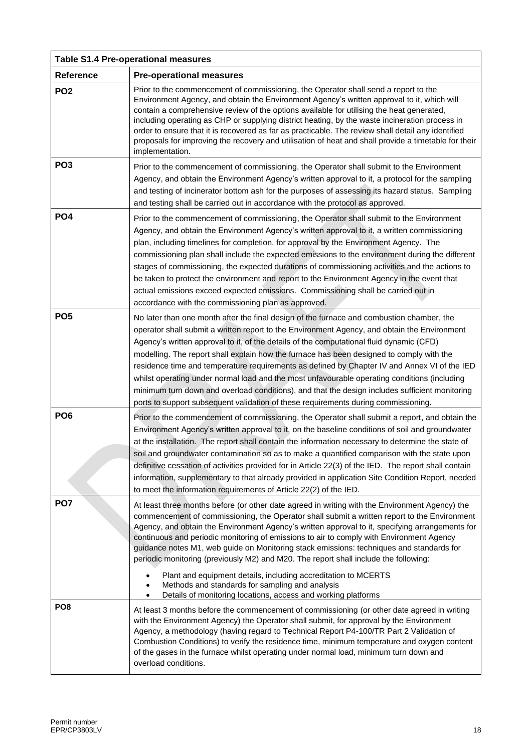| <b>Table S1.4 Pre-operational measures</b> |                                                                                                                                                                                                                                                                                                                                                                                                                                                                                                                                                                                                                                                                                                                                                                              |  |
|--------------------------------------------|------------------------------------------------------------------------------------------------------------------------------------------------------------------------------------------------------------------------------------------------------------------------------------------------------------------------------------------------------------------------------------------------------------------------------------------------------------------------------------------------------------------------------------------------------------------------------------------------------------------------------------------------------------------------------------------------------------------------------------------------------------------------------|--|
| Reference                                  | <b>Pre-operational measures</b>                                                                                                                                                                                                                                                                                                                                                                                                                                                                                                                                                                                                                                                                                                                                              |  |
| PO <sub>2</sub>                            | Prior to the commencement of commissioning, the Operator shall send a report to the<br>Environment Agency, and obtain the Environment Agency's written approval to it, which will<br>contain a comprehensive review of the options available for utilising the heat generated,<br>including operating as CHP or supplying district heating, by the waste incineration process in<br>order to ensure that it is recovered as far as practicable. The review shall detail any identified<br>proposals for improving the recovery and utilisation of heat and shall provide a timetable for their<br>implementation.                                                                                                                                                            |  |
| PO <sub>3</sub>                            | Prior to the commencement of commissioning, the Operator shall submit to the Environment<br>Agency, and obtain the Environment Agency's written approval to it, a protocol for the sampling<br>and testing of incinerator bottom ash for the purposes of assessing its hazard status. Sampling<br>and testing shall be carried out in accordance with the protocol as approved.                                                                                                                                                                                                                                                                                                                                                                                              |  |
| PO <sub>4</sub>                            | Prior to the commencement of commissioning, the Operator shall submit to the Environment<br>Agency, and obtain the Environment Agency's written approval to it, a written commissioning<br>plan, including timelines for completion, for approval by the Environment Agency. The<br>commissioning plan shall include the expected emissions to the environment during the different<br>stages of commissioning, the expected durations of commissioning activities and the actions to<br>be taken to protect the environment and report to the Environment Agency in the event that<br>actual emissions exceed expected emissions. Commissioning shall be carried out in<br>accordance with the commissioning plan as approved.                                              |  |
| PO <sub>5</sub>                            | No later than one month after the final design of the furnace and combustion chamber, the<br>operator shall submit a written report to the Environment Agency, and obtain the Environment<br>Agency's written approval to it, of the details of the computational fluid dynamic (CFD)<br>modelling. The report shall explain how the furnace has been designed to comply with the<br>residence time and temperature requirements as defined by Chapter IV and Annex VI of the IED<br>whilst operating under normal load and the most unfavourable operating conditions (including<br>minimum turn down and overload conditions), and that the design includes sufficient monitoring<br>ports to support subsequent validation of these requirements during commissioning.    |  |
| PO <sub>6</sub>                            | Prior to the commencement of commissioning, the Operator shall submit a report, and obtain the<br>Environment Agency's written approval to it, on the baseline conditions of soil and groundwater<br>at the installation. The report shall contain the information necessary to determine the state of<br>soil and groundwater contamination so as to make a quantified comparison with the state upon<br>definitive cessation of activities provided for in Article 22(3) of the IED. The report shall contain<br>information, supplementary to that already provided in application Site Condition Report, needed<br>to meet the information requirements of Article 22(2) of the IED.                                                                                     |  |
| PO <sub>7</sub>                            | At least three months before (or other date agreed in writing with the Environment Agency) the<br>commencement of commissioning, the Operator shall submit a written report to the Environment<br>Agency, and obtain the Environment Agency's written approval to it, specifying arrangements for<br>continuous and periodic monitoring of emissions to air to comply with Environment Agency<br>guidance notes M1, web guide on Monitoring stack emissions: techniques and standards for<br>periodic monitoring (previously M2) and M20. The report shall include the following:<br>Plant and equipment details, including accreditation to MCERTS<br>Methods and standards for sampling and analysis<br>Details of monitoring locations, access and working platforms<br>٠ |  |
| PO <sub>8</sub>                            | At least 3 months before the commencement of commissioning (or other date agreed in writing<br>with the Environment Agency) the Operator shall submit, for approval by the Environment<br>Agency, a methodology (having regard to Technical Report P4-100/TR Part 2 Validation of<br>Combustion Conditions) to verify the residence time, minimum temperature and oxygen content<br>of the gases in the furnace whilst operating under normal load, minimum turn down and<br>overload conditions.                                                                                                                                                                                                                                                                            |  |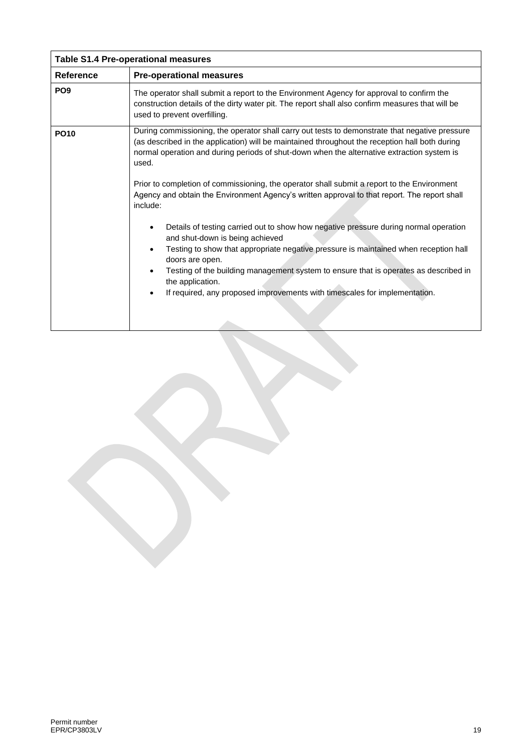| <b>Table S1.4 Pre-operational measures</b> |                                                                                                                                                                                                                                                                                                                                                                                                                                                                                                                                                                                                                                                                                                                                                                                                                                                                                                                                                    |  |
|--------------------------------------------|----------------------------------------------------------------------------------------------------------------------------------------------------------------------------------------------------------------------------------------------------------------------------------------------------------------------------------------------------------------------------------------------------------------------------------------------------------------------------------------------------------------------------------------------------------------------------------------------------------------------------------------------------------------------------------------------------------------------------------------------------------------------------------------------------------------------------------------------------------------------------------------------------------------------------------------------------|--|
| <b>Reference</b>                           | <b>Pre-operational measures</b>                                                                                                                                                                                                                                                                                                                                                                                                                                                                                                                                                                                                                                                                                                                                                                                                                                                                                                                    |  |
| PO <sub>9</sub>                            | The operator shall submit a report to the Environment Agency for approval to confirm the<br>construction details of the dirty water pit. The report shall also confirm measures that will be<br>used to prevent overfilling.                                                                                                                                                                                                                                                                                                                                                                                                                                                                                                                                                                                                                                                                                                                       |  |
| <b>PO10</b>                                | During commissioning, the operator shall carry out tests to demonstrate that negative pressure<br>(as described in the application) will be maintained throughout the reception hall both during<br>normal operation and during periods of shut-down when the alternative extraction system is<br>used.<br>Prior to completion of commissioning, the operator shall submit a report to the Environment<br>Agency and obtain the Environment Agency's written approval to that report. The report shall<br>include:<br>Details of testing carried out to show how negative pressure during normal operation<br>and shut-down is being achieved<br>Testing to show that appropriate negative pressure is maintained when reception hall<br>doors are open.<br>Testing of the building management system to ensure that is operates as described in<br>the application.<br>If required, any proposed improvements with timescales for implementation. |  |
|                                            |                                                                                                                                                                                                                                                                                                                                                                                                                                                                                                                                                                                                                                                                                                                                                                                                                                                                                                                                                    |  |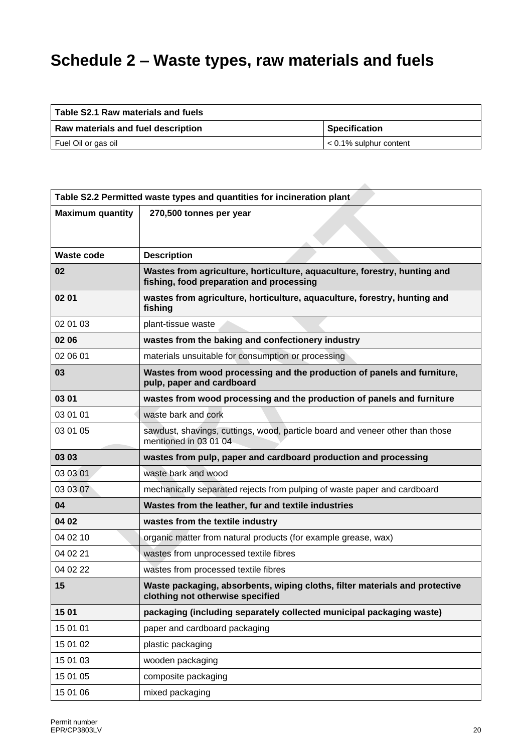# **Schedule 2 – Waste types, raw materials and fuels**

| Table S2.1 Raw materials and fuels |                                |  |  |  |
|------------------------------------|--------------------------------|--|--|--|
| Raw materials and fuel description | <b>Specification</b>           |  |  |  |
| Fuel Oil or gas oil                | $\vert$ < 0.1% sulphur content |  |  |  |

 $\lambda$ 

| Table S2.2 Permitted waste types and quantities for incineration plant |                                                                                                                       |  |  |  |  |
|------------------------------------------------------------------------|-----------------------------------------------------------------------------------------------------------------------|--|--|--|--|
| <b>Maximum quantity</b>                                                | 270,500 tonnes per year                                                                                               |  |  |  |  |
|                                                                        |                                                                                                                       |  |  |  |  |
|                                                                        |                                                                                                                       |  |  |  |  |
| <b>Waste code</b>                                                      | <b>Description</b>                                                                                                    |  |  |  |  |
| 02                                                                     | Wastes from agriculture, horticulture, aquaculture, forestry, hunting and<br>fishing, food preparation and processing |  |  |  |  |
| 02 01                                                                  | wastes from agriculture, horticulture, aquaculture, forestry, hunting and<br>fishing                                  |  |  |  |  |
| 02 01 03                                                               | plant-tissue waste                                                                                                    |  |  |  |  |
| 02 06                                                                  | wastes from the baking and confectionery industry                                                                     |  |  |  |  |
| 02 06 01                                                               | materials unsuitable for consumption or processing                                                                    |  |  |  |  |
| 03                                                                     | Wastes from wood processing and the production of panels and furniture,<br>pulp, paper and cardboard                  |  |  |  |  |
| 03 01                                                                  | wastes from wood processing and the production of panels and furniture                                                |  |  |  |  |
| 03 01 01                                                               | waste bark and cork                                                                                                   |  |  |  |  |
| 03 01 05                                                               | sawdust, shavings, cuttings, wood, particle board and veneer other than those<br>mentioned in 03 01 04                |  |  |  |  |
| 03 03                                                                  | wastes from pulp, paper and cardboard production and processing                                                       |  |  |  |  |
| 03 03 01                                                               | waste bark and wood                                                                                                   |  |  |  |  |
| 03 03 07                                                               | mechanically separated rejects from pulping of waste paper and cardboard                                              |  |  |  |  |
| 04                                                                     | Wastes from the leather, fur and textile industries                                                                   |  |  |  |  |
| 04 02                                                                  | wastes from the textile industry                                                                                      |  |  |  |  |
| 04 02 10                                                               | organic matter from natural products (for example grease, wax)                                                        |  |  |  |  |
| 04 02 21                                                               | wastes from unprocessed textile fibres                                                                                |  |  |  |  |
| 04 02 22                                                               | wastes from processed textile fibres                                                                                  |  |  |  |  |
| 15                                                                     | Waste packaging, absorbents, wiping cloths, filter materials and protective<br>clothing not otherwise specified       |  |  |  |  |
| 1501                                                                   | packaging (including separately collected municipal packaging waste)                                                  |  |  |  |  |
| 15 01 01                                                               | paper and cardboard packaging                                                                                         |  |  |  |  |
| 15 01 02                                                               | plastic packaging                                                                                                     |  |  |  |  |
| 15 01 03                                                               | wooden packaging                                                                                                      |  |  |  |  |
| 15 01 05                                                               | composite packaging                                                                                                   |  |  |  |  |
| 15 01 06                                                               | mixed packaging                                                                                                       |  |  |  |  |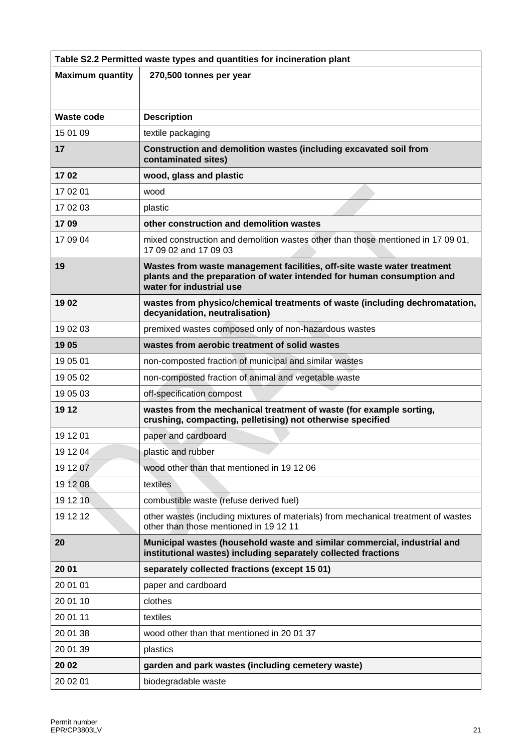| Table S2.2 Permitted waste types and quantities for incineration plant |                                                                                                                                                                               |  |  |  |
|------------------------------------------------------------------------|-------------------------------------------------------------------------------------------------------------------------------------------------------------------------------|--|--|--|
| <b>Maximum quantity</b>                                                | 270,500 tonnes per year                                                                                                                                                       |  |  |  |
|                                                                        |                                                                                                                                                                               |  |  |  |
| Waste code                                                             | <b>Description</b>                                                                                                                                                            |  |  |  |
| 15 01 09                                                               | textile packaging                                                                                                                                                             |  |  |  |
| 17                                                                     | Construction and demolition wastes (including excavated soil from<br>contaminated sites)                                                                                      |  |  |  |
| 1702                                                                   | wood, glass and plastic                                                                                                                                                       |  |  |  |
| 17 02 01                                                               | wood                                                                                                                                                                          |  |  |  |
| 17 02 03                                                               | plastic                                                                                                                                                                       |  |  |  |
| 1709                                                                   | other construction and demolition wastes                                                                                                                                      |  |  |  |
| 17 09 04                                                               | mixed construction and demolition wastes other than those mentioned in 17 09 01,<br>17 09 02 and 17 09 03                                                                     |  |  |  |
| 19                                                                     | Wastes from waste management facilities, off-site waste water treatment<br>plants and the preparation of water intended for human consumption and<br>water for industrial use |  |  |  |
| 1902                                                                   | wastes from physico/chemical treatments of waste (including dechromatation,<br>decyanidation, neutralisation)                                                                 |  |  |  |
| 19 02 03                                                               | premixed wastes composed only of non-hazardous wastes                                                                                                                         |  |  |  |
| 1905                                                                   | wastes from aerobic treatment of solid wastes                                                                                                                                 |  |  |  |
| 19 05 01                                                               | non-composted fraction of municipal and similar wastes                                                                                                                        |  |  |  |
| 19 05 02                                                               | non-composted fraction of animal and vegetable waste                                                                                                                          |  |  |  |
| 19 05 03                                                               | off-specification compost                                                                                                                                                     |  |  |  |
| 19 12                                                                  | wastes from the mechanical treatment of waste (for example sorting,<br>crushing, compacting, pelletising) not otherwise specified                                             |  |  |  |
| 19 12 01                                                               | paper and cardboard                                                                                                                                                           |  |  |  |
| 19 12 04                                                               | plastic and rubber                                                                                                                                                            |  |  |  |
| 19 12 07                                                               | wood other than that mentioned in 19 12 06                                                                                                                                    |  |  |  |
| 19 12 08                                                               | textiles                                                                                                                                                                      |  |  |  |
| 19 12 10                                                               | combustible waste (refuse derived fuel)                                                                                                                                       |  |  |  |
| 19 12 12                                                               | other wastes (including mixtures of materials) from mechanical treatment of wastes<br>other than those mentioned in 19 12 11                                                  |  |  |  |
| 20                                                                     | Municipal wastes (household waste and similar commercial, industrial and<br>institutional wastes) including separately collected fractions                                    |  |  |  |
| 20 01                                                                  | separately collected fractions (except 15 01)                                                                                                                                 |  |  |  |
| 20 01 01                                                               | paper and cardboard                                                                                                                                                           |  |  |  |
| 20 01 10                                                               | clothes                                                                                                                                                                       |  |  |  |
| 20 01 11                                                               | textiles                                                                                                                                                                      |  |  |  |
| 20 01 38                                                               | wood other than that mentioned in 20 01 37                                                                                                                                    |  |  |  |
| 20 01 39                                                               | plastics                                                                                                                                                                      |  |  |  |
| 20 02                                                                  | garden and park wastes (including cemetery waste)                                                                                                                             |  |  |  |
| 20 02 01                                                               | biodegradable waste                                                                                                                                                           |  |  |  |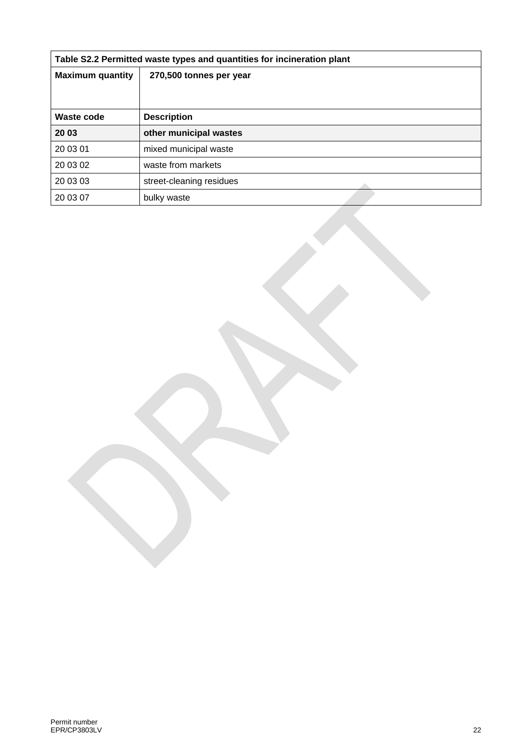| Table S2.2 Permitted waste types and quantities for incineration plant |                          |  |  |  |
|------------------------------------------------------------------------|--------------------------|--|--|--|
| <b>Maximum quantity</b>                                                | 270,500 tonnes per year  |  |  |  |
|                                                                        |                          |  |  |  |
| <b>Waste code</b>                                                      | <b>Description</b>       |  |  |  |
| 20 03                                                                  | other municipal wastes   |  |  |  |
| 20 03 01                                                               | mixed municipal waste    |  |  |  |
| 20 03 02                                                               | waste from markets       |  |  |  |
| 20 03 03                                                               | street-cleaning residues |  |  |  |
| 20 03 07                                                               | bulky waste              |  |  |  |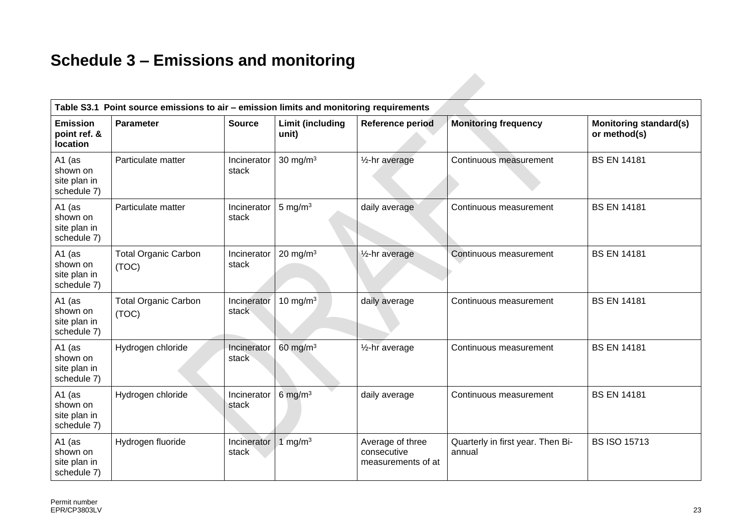## **Schedule 3 – Emissions and monitoring**

| Table S3.1 Point source emissions to air - emission limits and monitoring requirements |                                      |                      |                                  |                                                       |                                             |                                               |
|----------------------------------------------------------------------------------------|--------------------------------------|----------------------|----------------------------------|-------------------------------------------------------|---------------------------------------------|-----------------------------------------------|
| <b>Emission</b><br>point ref. &<br><b>location</b>                                     | <b>Parameter</b>                     | <b>Source</b>        | <b>Limit (including</b><br>unit) | <b>Reference period</b>                               | <b>Monitoring frequency</b>                 | <b>Monitoring standard(s)</b><br>or method(s) |
| A1 (as<br>shown on<br>site plan in<br>schedule 7)                                      | Particulate matter                   | Incinerator<br>stack | 30 mg/m $3$                      | 1/ <sub>2</sub> -hr average                           | Continuous measurement                      | <b>BS EN 14181</b>                            |
| A1 (as<br>shown on<br>site plan in<br>schedule 7)                                      | Particulate matter                   | Incinerator<br>stack | 5 mg/m $3$                       | daily average                                         | Continuous measurement                      | <b>BS EN 14181</b>                            |
| A1 (as<br>shown on<br>site plan in<br>schedule 7)                                      | <b>Total Organic Carbon</b><br>(TOC) | Incinerator<br>stack | 20 mg/m $3$                      | 1/ <sub>2</sub> -hr average                           | Continuous measurement                      | <b>BS EN 14181</b>                            |
| A1 (as<br>shown on<br>site plan in<br>schedule 7)                                      | <b>Total Organic Carbon</b><br>(TOC) | Incinerator<br>stack | 10 mg/m $3$                      | daily average                                         | Continuous measurement                      | <b>BS EN 14181</b>                            |
| A1 (as<br>shown on<br>site plan in<br>schedule 7)                                      | Hydrogen chloride                    | Incinerator<br>stack | $60$ mg/m <sup>3</sup>           | 1/ <sub>2</sub> -hr average                           | Continuous measurement                      | <b>BS EN 14181</b>                            |
| A1 (as<br>shown on<br>site plan in<br>schedule 7)                                      | Hydrogen chloride                    | Incinerator<br>stack | 6 mg/m $3$                       | daily average                                         | Continuous measurement                      | <b>BS EN 14181</b>                            |
| A1 (as<br>shown on<br>site plan in<br>schedule 7)                                      | Hydrogen fluoride                    | Incinerator<br>stack | $1$ mg/m <sup>3</sup>            | Average of three<br>consecutive<br>measurements of at | Quarterly in first year. Then Bi-<br>annual | <b>BS ISO 15713</b>                           |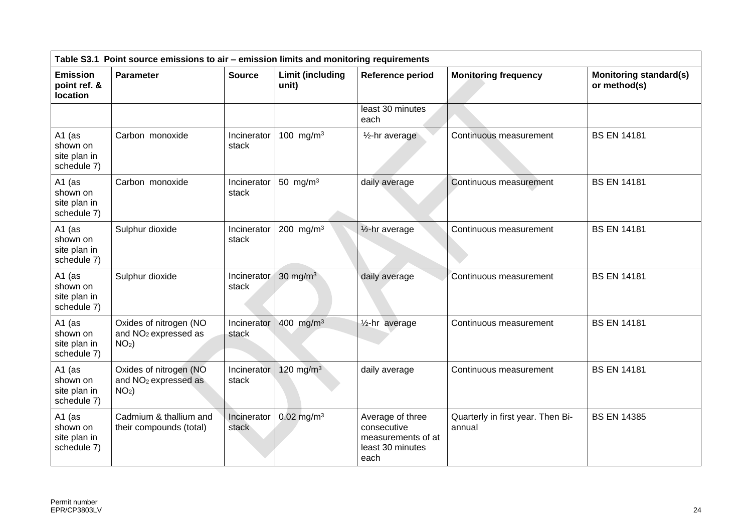| Table S3.1 Point source emissions to air - emission limits and monitoring requirements |                                                                       |                      |                                  |                                                                                   |                                             |                                               |
|----------------------------------------------------------------------------------------|-----------------------------------------------------------------------|----------------------|----------------------------------|-----------------------------------------------------------------------------------|---------------------------------------------|-----------------------------------------------|
| <b>Emission</b><br>point ref. &<br>location                                            | Parameter                                                             | <b>Source</b>        | <b>Limit (including</b><br>unit) | Reference period                                                                  | <b>Monitoring frequency</b>                 | <b>Monitoring standard(s)</b><br>or method(s) |
|                                                                                        |                                                                       |                      |                                  | least 30 minutes<br>each                                                          |                                             |                                               |
| A1 (as<br>shown on<br>site plan in<br>schedule 7)                                      | Carbon monoxide                                                       | Incinerator<br>stack | 100 mg/m <sup>3</sup>            | 1/ <sub>2</sub> -hr average                                                       | Continuous measurement                      | <b>BS EN 14181</b>                            |
| A1 $(as)$<br>shown on<br>site plan in<br>schedule 7)                                   | Carbon monoxide                                                       | Incinerator<br>stack | 50 mg/m $3$                      | daily average                                                                     | Continuous measurement                      | <b>BS EN 14181</b>                            |
| A1 (as<br>shown on<br>site plan in<br>schedule 7)                                      | Sulphur dioxide                                                       | Incinerator<br>stack | 200 mg/m $3$                     | 1/ <sub>2</sub> -hr average                                                       | Continuous measurement                      | <b>BS EN 14181</b>                            |
| A1 $(as$<br>shown on<br>site plan in<br>schedule 7)                                    | Sulphur dioxide                                                       | Incinerator<br>stack | 30 mg/m $3$                      | daily average                                                                     | Continuous measurement                      | <b>BS EN 14181</b>                            |
| A1 (as<br>shown on<br>site plan in<br>schedule 7)                                      | Oxides of nitrogen (NO<br>and NO <sub>2</sub> expressed as<br>$NO2$ ) | Incinerator<br>stack | 400 mg/m <sup>3</sup>            | 1/ <sub>2</sub> -hr average                                                       | Continuous measurement                      | <b>BS EN 14181</b>                            |
| A1 (as<br>shown on<br>site plan in<br>schedule 7)                                      | Oxides of nitrogen (NO<br>and NO <sub>2</sub> expressed as<br>$NO2$ ) | Incinerator<br>stack | 120 mg/m $3$                     | daily average                                                                     | Continuous measurement                      | <b>BS EN 14181</b>                            |
| A1 (as<br>shown on<br>site plan in<br>schedule 7)                                      | Cadmium & thallium and<br>their compounds (total)                     | Incinerator<br>stack | $0.02$ mg/m <sup>3</sup>         | Average of three<br>consecutive<br>measurements of at<br>least 30 minutes<br>each | Quarterly in first year. Then Bi-<br>annual | <b>BS EN 14385</b>                            |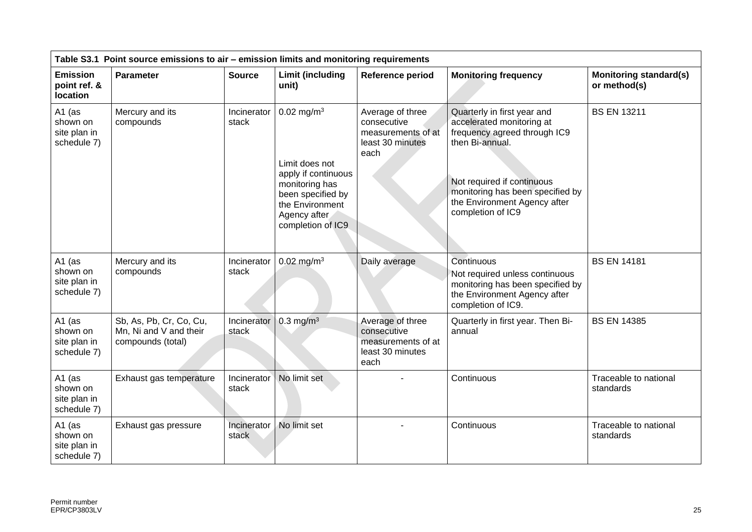| Table S3.1 Point source emissions to air - emission limits and monitoring requirements |                                                                        |                      |                                                                                                                                                                  |                                                                                   |                                                                                                                                                                                                                                    |                                               |
|----------------------------------------------------------------------------------------|------------------------------------------------------------------------|----------------------|------------------------------------------------------------------------------------------------------------------------------------------------------------------|-----------------------------------------------------------------------------------|------------------------------------------------------------------------------------------------------------------------------------------------------------------------------------------------------------------------------------|-----------------------------------------------|
| <b>Emission</b><br>point ref. &<br>location                                            | Parameter                                                              | <b>Source</b>        | <b>Limit (including</b><br>unit)                                                                                                                                 | Reference period                                                                  | <b>Monitoring frequency</b>                                                                                                                                                                                                        | <b>Monitoring standard(s)</b><br>or method(s) |
| A1 (as<br>shown on<br>site plan in<br>schedule 7)                                      | Mercury and its<br>compounds                                           | Incinerator<br>stack | $0.02$ mg/m <sup>3</sup><br>Limit does not<br>apply if continuous<br>monitoring has<br>been specified by<br>the Environment<br>Agency after<br>completion of IC9 | Average of three<br>consecutive<br>measurements of at<br>least 30 minutes<br>each | Quarterly in first year and<br>accelerated monitoring at<br>frequency agreed through IC9<br>then Bi-annual.<br>Not required if continuous<br>monitoring has been specified by<br>the Environment Agency after<br>completion of IC9 | <b>BS EN 13211</b>                            |
| A1 (as<br>shown on<br>site plan in<br>schedule 7)                                      | Mercury and its<br>compounds                                           | Incinerator<br>stack | $0.02$ mg/m <sup>3</sup>                                                                                                                                         | Daily average                                                                     | Continuous<br>Not required unless continuous<br>monitoring has been specified by<br>the Environment Agency after<br>completion of IC9.                                                                                             | <b>BS EN 14181</b>                            |
| A1 (as<br>shown on<br>site plan in<br>schedule 7)                                      | Sb, As, Pb, Cr, Co, Cu,<br>Mn, Ni and V and their<br>compounds (total) | Incinerator<br>stack | $0.3$ mg/m <sup>3</sup>                                                                                                                                          | Average of three<br>consecutive<br>measurements of at<br>least 30 minutes<br>each | Quarterly in first year. Then Bi-<br>annual                                                                                                                                                                                        | <b>BS EN 14385</b>                            |
| A1 (as<br>shown on<br>site plan in<br>schedule 7)                                      | Exhaust gas temperature                                                | Incinerator<br>stack | No limit set                                                                                                                                                     |                                                                                   | Continuous                                                                                                                                                                                                                         | Traceable to national<br>standards            |
| A1 (as<br>shown on<br>site plan in<br>schedule 7)                                      | Exhaust gas pressure                                                   | Incinerator<br>stack | No limit set                                                                                                                                                     |                                                                                   | Continuous                                                                                                                                                                                                                         | Traceable to national<br>standards            |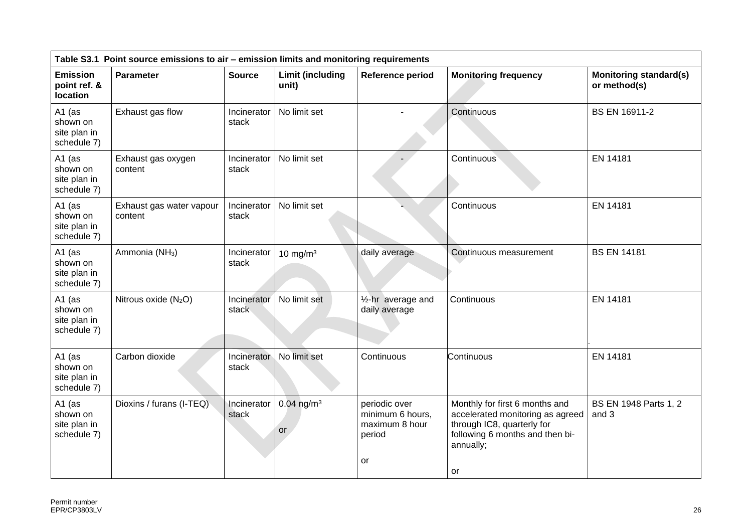| Table S3.1 Point source emissions to air - emission limits and monitoring requirements |                                     |                      |                                  |                                                                     |                                                                                                                                                        |                                               |
|----------------------------------------------------------------------------------------|-------------------------------------|----------------------|----------------------------------|---------------------------------------------------------------------|--------------------------------------------------------------------------------------------------------------------------------------------------------|-----------------------------------------------|
| <b>Emission</b><br>point ref. &<br>location                                            | Parameter                           | <b>Source</b>        | <b>Limit (including</b><br>unit) | Reference period                                                    | <b>Monitoring frequency</b>                                                                                                                            | <b>Monitoring standard(s)</b><br>or method(s) |
| A1 $(as$<br>shown on<br>site plan in<br>schedule 7)                                    | Exhaust gas flow                    | Incinerator<br>stack | No limit set                     |                                                                     | Continuous                                                                                                                                             | <b>BS EN 16911-2</b>                          |
| A1 (as<br>shown on<br>site plan in<br>schedule 7)                                      | Exhaust gas oxygen<br>content       | Incinerator<br>stack | No limit set                     |                                                                     | Continuous                                                                                                                                             | EN 14181                                      |
| A1 (as<br>shown on<br>site plan in<br>schedule 7)                                      | Exhaust gas water vapour<br>content | Incinerator<br>stack | No limit set                     |                                                                     | Continuous                                                                                                                                             | EN 14181                                      |
| A1 (as<br>shown on<br>site plan in<br>schedule 7)                                      | Ammonia (NH <sub>3</sub> )          | Incinerator<br>stack | 10 mg/m $3$                      | daily average                                                       | Continuous measurement                                                                                                                                 | <b>BS EN 14181</b>                            |
| A1 $(as$<br>shown on<br>site plan in<br>schedule 7)                                    | Nitrous oxide $(N_2O)$              | Incinerator<br>stack | No limit set                     | 1/ <sub>2</sub> -hr average and<br>daily average                    | Continuous                                                                                                                                             | EN 14181                                      |
| A1 (as<br>shown on<br>site plan in<br>schedule 7)                                      | Carbon dioxide                      | Incinerator<br>stack | No limit set                     | Continuous                                                          | Continuous                                                                                                                                             | EN 14181                                      |
| A1 (as<br>shown on<br>site plan in<br>schedule 7)                                      | Dioxins / furans (I-TEQ)            | Incinerator<br>stack | $0.04$ ng/m <sup>3</sup><br>or   | periodic over<br>minimum 6 hours,<br>maximum 8 hour<br>period<br>or | Monthly for first 6 months and<br>accelerated monitoring as agreed<br>through IC8, quarterly for<br>following 6 months and then bi-<br>annually;<br>or | BS EN 1948 Parts 1, 2<br>and 3                |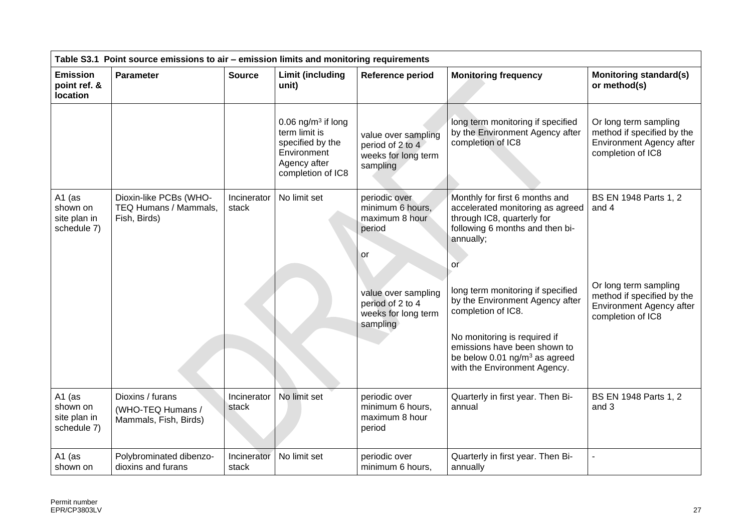| Table S3.1 Point source emissions to air - emission limits and monitoring requirements |                                                                 |                      |                                                                                                                         |                                                                            |                                                                                                                                                                                                                                           |                                                                                                      |  |
|----------------------------------------------------------------------------------------|-----------------------------------------------------------------|----------------------|-------------------------------------------------------------------------------------------------------------------------|----------------------------------------------------------------------------|-------------------------------------------------------------------------------------------------------------------------------------------------------------------------------------------------------------------------------------------|------------------------------------------------------------------------------------------------------|--|
| <b>Emission</b><br>point ref. &<br>location                                            | Parameter                                                       | <b>Source</b>        | <b>Limit (including</b><br>unit)                                                                                        | Reference period                                                           | <b>Monitoring frequency</b>                                                                                                                                                                                                               | <b>Monitoring standard(s)</b><br>or method(s)                                                        |  |
|                                                                                        |                                                                 |                      | 0.06 ng/m <sup>3</sup> if long<br>term limit is<br>specified by the<br>Environment<br>Agency after<br>completion of IC8 | value over sampling<br>period of 2 to 4<br>weeks for long term<br>sampling | long term monitoring if specified<br>by the Environment Agency after<br>completion of IC8                                                                                                                                                 | Or long term sampling<br>method if specified by the<br>Environment Agency after<br>completion of IC8 |  |
| A1 (as<br>shown on<br>site plan in<br>schedule 7)                                      | Dioxin-like PCBs (WHO-<br>TEQ Humans / Mammals,<br>Fish, Birds) | Incinerator<br>stack | No limit set                                                                                                            | periodic over<br>minimum 6 hours,<br>maximum 8 hour<br>period<br>'or       | Monthly for first 6 months and<br>accelerated monitoring as agreed<br>through IC8, quarterly for<br>following 6 months and then bi-<br>annually;<br>or                                                                                    | BS EN 1948 Parts 1, 2<br>and 4                                                                       |  |
|                                                                                        |                                                                 |                      |                                                                                                                         | value over sampling<br>period of 2 to 4<br>weeks for long term<br>sampling | long term monitoring if specified<br>by the Environment Agency after<br>completion of IC8.<br>No monitoring is required if<br>emissions have been shown to<br>be below $0.01$ ng/m <sup>3</sup> as agreed<br>with the Environment Agency. | Or long term sampling<br>method if specified by the<br>Environment Agency after<br>completion of IC8 |  |
| A1 (as<br>shown on<br>site plan in<br>schedule 7)                                      | Dioxins / furans<br>(WHO-TEQ Humans /<br>Mammals, Fish, Birds)  | Incinerator<br>stack | No limit set                                                                                                            | periodic over<br>minimum 6 hours,<br>maximum 8 hour<br>period              | Quarterly in first year. Then Bi-<br>annual                                                                                                                                                                                               | BS EN 1948 Parts 1, 2<br>and 3                                                                       |  |
| A1 (as<br>shown on                                                                     | Polybrominated dibenzo-<br>dioxins and furans                   | Incinerator<br>stack | No limit set                                                                                                            | periodic over<br>minimum 6 hours,                                          | Quarterly in first year. Then Bi-<br>annually                                                                                                                                                                                             |                                                                                                      |  |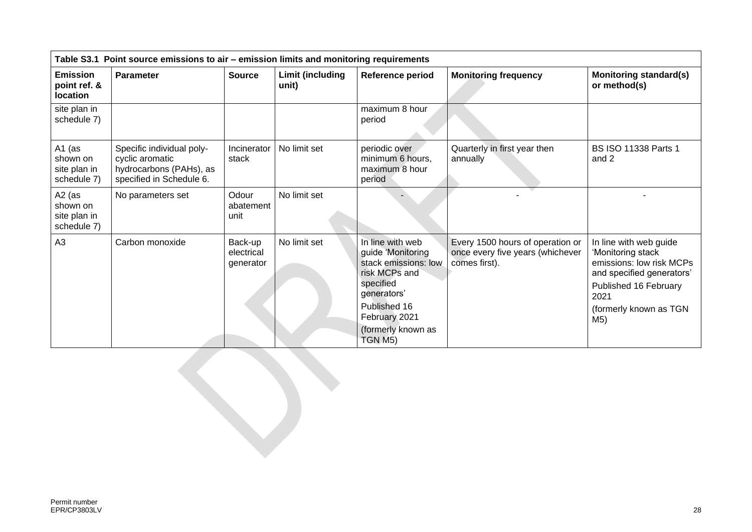| Table S3.1 Point source emissions to air - emission limits and monitoring requirements |                                                                                                     |                                    |                                  |                                                                                                                                                                              |                                                                                       |                                                                                                                                                                        |
|----------------------------------------------------------------------------------------|-----------------------------------------------------------------------------------------------------|------------------------------------|----------------------------------|------------------------------------------------------------------------------------------------------------------------------------------------------------------------------|---------------------------------------------------------------------------------------|------------------------------------------------------------------------------------------------------------------------------------------------------------------------|
| <b>Emission</b><br>point ref. &<br><b>location</b>                                     | <b>Parameter</b>                                                                                    | <b>Source</b>                      | <b>Limit (including</b><br>unit) | Reference period                                                                                                                                                             | <b>Monitoring frequency</b>                                                           | <b>Monitoring standard(s)</b><br>or method(s)                                                                                                                          |
| site plan in<br>schedule 7)                                                            |                                                                                                     |                                    |                                  | maximum 8 hour<br>period                                                                                                                                                     |                                                                                       |                                                                                                                                                                        |
| A1 (as<br>shown on<br>site plan in<br>schedule 7)                                      | Specific individual poly-<br>cyclic aromatic<br>hydrocarbons (PAHs), as<br>specified in Schedule 6. | Incinerator<br>stack               | No limit set                     | periodic over<br>minimum 6 hours,<br>maximum 8 hour<br>period                                                                                                                | Quarterly in first year then<br>annually                                              | <b>BS ISO 11338 Parts 1</b><br>and 2                                                                                                                                   |
| $A2$ (as<br>shown on<br>site plan in<br>schedule 7)                                    | No parameters set                                                                                   | Odour<br>abatement<br>unit         | No limit set                     |                                                                                                                                                                              |                                                                                       |                                                                                                                                                                        |
| A3                                                                                     | Carbon monoxide                                                                                     | Back-up<br>electrical<br>generator | No limit set                     | In line with web<br>guide 'Monitoring<br>stack emissions: low<br>risk MCPs and<br>specified<br>generators'<br>Published 16<br>February 2021<br>(formerly known as<br>TGN M5) | Every 1500 hours of operation or<br>once every five years (whichever<br>comes first). | In line with web guide<br>'Monitoring stack<br>emissions: low risk MCPs<br>and specified generators'<br>Published 16 February<br>2021<br>(formerly known as TGN<br>M5) |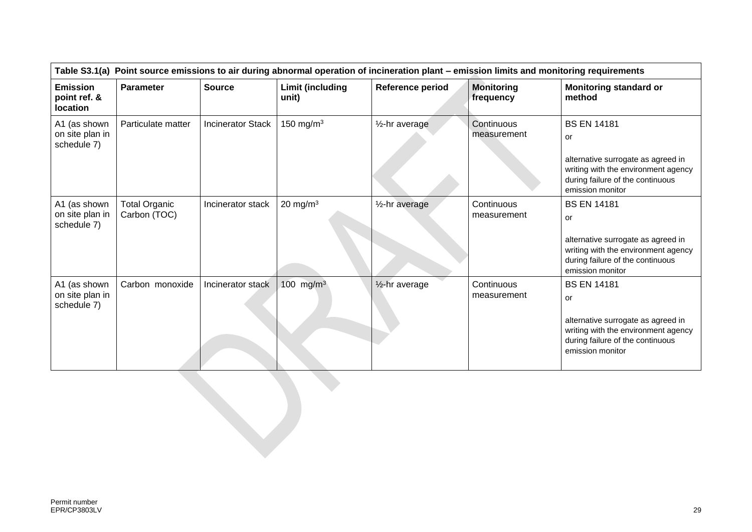| Table S3.1(a) Point source emissions to air during abnormal operation of incineration plant - emission limits and monitoring requirements |                                      |                          |                                  |                             |                                |                                                                                                                                                               |
|-------------------------------------------------------------------------------------------------------------------------------------------|--------------------------------------|--------------------------|----------------------------------|-----------------------------|--------------------------------|---------------------------------------------------------------------------------------------------------------------------------------------------------------|
| <b>Emission</b><br>point ref. &<br>location                                                                                               | <b>Parameter</b>                     | <b>Source</b>            | <b>Limit (including</b><br>unit) | Reference period            | <b>Monitoring</b><br>frequency | <b>Monitoring standard or</b><br>method                                                                                                                       |
| A1 (as shown<br>on site plan in<br>schedule 7)                                                                                            | Particulate matter                   | <b>Incinerator Stack</b> | 150 mg/m $3$                     | 1/ <sub>2</sub> -hr average | Continuous<br>measurement      | <b>BS EN 14181</b><br>or<br>alternative surrogate as agreed in<br>writing with the environment agency<br>during failure of the continuous<br>emission monitor |
| A1 (as shown<br>on site plan in<br>schedule 7)                                                                                            | <b>Total Organic</b><br>Carbon (TOC) | Incinerator stack        | 20 mg/m $3$                      | 1/ <sub>2</sub> -hr average | Continuous<br>measurement      | <b>BS EN 14181</b><br>or<br>alternative surrogate as agreed in<br>writing with the environment agency<br>during failure of the continuous<br>emission monitor |
| A1 (as shown<br>on site plan in<br>schedule 7)                                                                                            | Carbon monoxide                      | Incinerator stack        | 100 mg/m <sup>3</sup>            | 1/ <sub>2</sub> -hr average | Continuous<br>measurement      | <b>BS EN 14181</b><br>or<br>alternative surrogate as agreed in<br>writing with the environment agency<br>during failure of the continuous<br>emission monitor |
|                                                                                                                                           |                                      |                          |                                  |                             |                                |                                                                                                                                                               |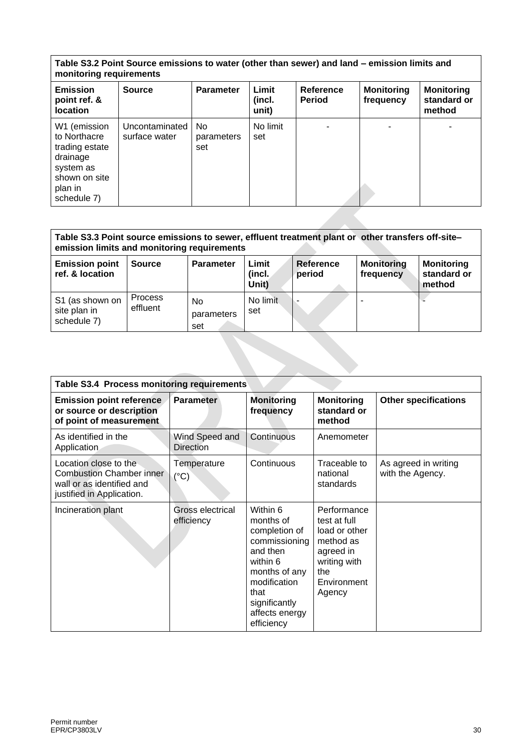#### **Table S3.2 Point Source emissions to water (other than sewer) and land – emission limits and monitoring requirements**

| <b>Emission</b><br>point ref. &<br><b>location</b>                                                                 | <b>Source</b>                   | <b>Parameter</b>         | Limit<br>(incl.<br>unit) | Reference<br><b>Period</b> | <b>Monitoring</b><br>frequency | <b>Monitoring</b><br>standard or<br>method |
|--------------------------------------------------------------------------------------------------------------------|---------------------------------|--------------------------|--------------------------|----------------------------|--------------------------------|--------------------------------------------|
| W1 (emission<br>to Northacre<br>trading estate<br>drainage<br>system as<br>shown on site<br>plan in<br>schedule 7) | Uncontaminated<br>surface water | No.<br>parameters<br>set | No limit<br>set          |                            |                                |                                            |

| Table S3.3 Point source emissions to sewer, effluent treatment plant or other transfers off-site-<br>emission limits and monitoring requirements |                            |                         |                          |                     |                                |                                            |
|--------------------------------------------------------------------------------------------------------------------------------------------------|----------------------------|-------------------------|--------------------------|---------------------|--------------------------------|--------------------------------------------|
| <b>Emission point</b><br>ref. & location                                                                                                         | <b>Source</b>              | <b>Parameter</b>        | Limit<br>(incl.<br>Unit) | Reference<br>period | <b>Monitoring</b><br>frequency | <b>Monitoring</b><br>standard or<br>method |
| S1 (as shown on<br>site plan in<br>schedule 7)                                                                                                   | <b>Process</b><br>effluent | No<br>parameters<br>set | No limit<br>set          |                     |                                |                                            |

| Table S3.4 Process monitoring requirements                                                                         |                                    |                                                                                                                                                                           |                                                                                                                        |                                          |
|--------------------------------------------------------------------------------------------------------------------|------------------------------------|---------------------------------------------------------------------------------------------------------------------------------------------------------------------------|------------------------------------------------------------------------------------------------------------------------|------------------------------------------|
| <b>Emission point reference</b><br>or source or description<br>of point of measurement                             | <b>Parameter</b>                   | <b>Monitoring</b><br>frequency                                                                                                                                            | <b>Monitoring</b><br>standard or<br>method                                                                             | <b>Other specifications</b>              |
| As identified in the<br>Application                                                                                | Wind Speed and<br><b>Direction</b> | Continuous                                                                                                                                                                | Anemometer                                                                                                             |                                          |
| Location close to the<br><b>Combustion Chamber inner</b><br>wall or as identified and<br>justified in Application. | Temperature<br>$(^{\circ}C)$       | Continuous                                                                                                                                                                | Traceable to<br>national<br>standards                                                                                  | As agreed in writing<br>with the Agency. |
| Incineration plant                                                                                                 | Gross electrical<br>efficiency     | Within 6<br>months of<br>completion of<br>commissioning<br>and then<br>within 6<br>months of any<br>modification<br>that<br>significantly<br>affects energy<br>efficiency | Performance<br>test at full<br>load or other<br>method as<br>agreed in<br>writing with<br>the<br>Environment<br>Agency |                                          |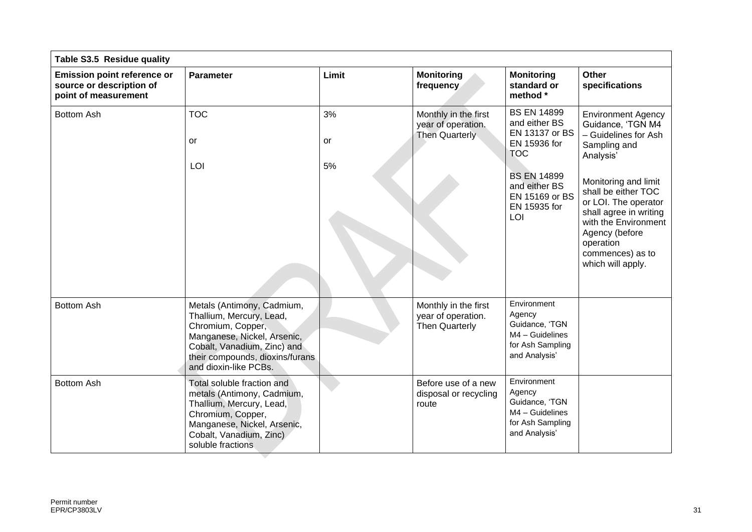| Table S3.5 Residue quality                                                             |                                                                                                                                                                                                       |                |                                                                     |                                                                                                                                                                     |                                                                                                                                                                                                                                                                                 |
|----------------------------------------------------------------------------------------|-------------------------------------------------------------------------------------------------------------------------------------------------------------------------------------------------------|----------------|---------------------------------------------------------------------|---------------------------------------------------------------------------------------------------------------------------------------------------------------------|---------------------------------------------------------------------------------------------------------------------------------------------------------------------------------------------------------------------------------------------------------------------------------|
| <b>Emission point reference or</b><br>source or description of<br>point of measurement | <b>Parameter</b>                                                                                                                                                                                      | Limit          | <b>Monitoring</b><br>frequency                                      | <b>Monitoring</b><br>standard or<br>method *                                                                                                                        | <b>Other</b><br>specifications                                                                                                                                                                                                                                                  |
| <b>Bottom Ash</b>                                                                      | <b>TOC</b><br>or<br>LOI                                                                                                                                                                               | 3%<br>or<br>5% | Monthly in the first<br>year of operation.<br>Then Quarterly        | <b>BS EN 14899</b><br>and either BS<br>EN 13137 or BS<br>EN 15936 for<br><b>TOC</b><br><b>BS EN 14899</b><br>and either BS<br>EN 15169 or BS<br>EN 15935 for<br>LOI | <b>Environment Agency</b><br>Guidance, 'TGN M4<br>- Guidelines for Ash<br>Sampling and<br>Analysis'<br>Monitoring and limit<br>shall be either TOC<br>or LOI. The operator<br>shall agree in writing<br>with the Environment<br>Agency (before<br>operation<br>commences) as to |
|                                                                                        |                                                                                                                                                                                                       |                |                                                                     |                                                                                                                                                                     | which will apply.                                                                                                                                                                                                                                                               |
| <b>Bottom Ash</b>                                                                      | Metals (Antimony, Cadmium,<br>Thallium, Mercury, Lead,<br>Chromium, Copper,<br>Manganese, Nickel, Arsenic,<br>Cobalt, Vanadium, Zinc) and<br>their compounds, dioxins/furans<br>and dioxin-like PCBs. |                | Monthly in the first<br>year of operation.<br><b>Then Quarterly</b> | Environment<br>Agency<br>Guidance, 'TGN<br>$M4 -$ Guidelines<br>for Ash Sampling<br>and Analysis'                                                                   |                                                                                                                                                                                                                                                                                 |
| <b>Bottom Ash</b>                                                                      | Total soluble fraction and<br>metals (Antimony, Cadmium,<br>Thallium, Mercury, Lead,<br>Chromium, Copper,<br>Manganese, Nickel, Arsenic,<br>Cobalt, Vanadium, Zinc)<br>soluble fractions              |                | Before use of a new<br>disposal or recycling<br>route               | Environment<br>Agency<br>Guidance, 'TGN<br>$MA - Guidelines$<br>for Ash Sampling<br>and Analysis'                                                                   |                                                                                                                                                                                                                                                                                 |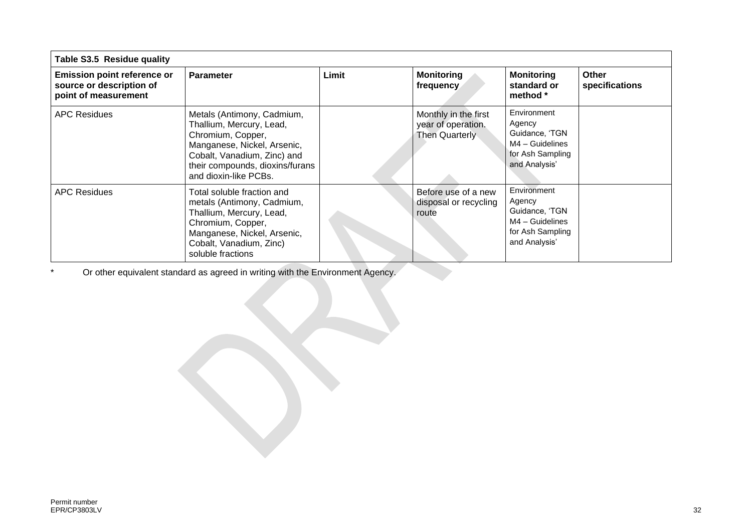| Table S3.5 Residue quality                                                             |                                                                                                                                                                                                       |       |                                                              |                                                                                                   |                         |
|----------------------------------------------------------------------------------------|-------------------------------------------------------------------------------------------------------------------------------------------------------------------------------------------------------|-------|--------------------------------------------------------------|---------------------------------------------------------------------------------------------------|-------------------------|
| <b>Emission point reference or</b><br>source or description of<br>point of measurement | <b>Parameter</b>                                                                                                                                                                                      | Limit | <b>Monitoring</b><br>frequency                               | <b>Monitoring</b><br>standard or<br>method *                                                      | Other<br>specifications |
| <b>APC Residues</b>                                                                    | Metals (Antimony, Cadmium,<br>Thallium, Mercury, Lead,<br>Chromium, Copper,<br>Manganese, Nickel, Arsenic,<br>Cobalt, Vanadium, Zinc) and<br>their compounds, dioxins/furans<br>and dioxin-like PCBs. |       | Monthly in the first<br>year of operation.<br>Then Quarterly | Environment<br>Agency<br>Guidance, 'TGN<br>$MA - Guidelines$<br>for Ash Sampling<br>and Analysis' |                         |
| <b>APC Residues</b>                                                                    | Total soluble fraction and<br>metals (Antimony, Cadmium,<br>Thallium, Mercury, Lead,<br>Chromium, Copper,<br>Manganese, Nickel, Arsenic,<br>Cobalt, Vanadium, Zinc)<br>soluble fractions              |       | Before use of a new<br>disposal or recycling<br>route        | Environment<br>Agency<br>Guidance, 'TGN<br>$MA - Guidelines$<br>for Ash Sampling<br>and Analysis' |                         |

\* Or other equivalent standard as agreed in writing with the Environment Agency.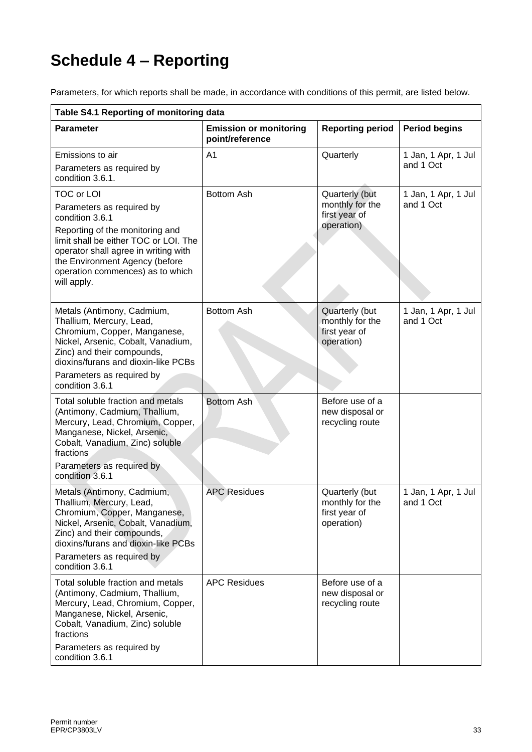# **Schedule 4 – Reporting**

Parameters, for which reports shall be made, in accordance with conditions of this permit, are listed below.

| Table S4.1 Reporting of monitoring data                                                                                                                                                                                                                                    |                                                  |                                                                  |                                  |
|----------------------------------------------------------------------------------------------------------------------------------------------------------------------------------------------------------------------------------------------------------------------------|--------------------------------------------------|------------------------------------------------------------------|----------------------------------|
| <b>Parameter</b>                                                                                                                                                                                                                                                           | <b>Emission or monitoring</b><br>point/reference | <b>Reporting period</b>                                          | <b>Period begins</b>             |
| Emissions to air<br>Parameters as required by<br>condition 3.6.1.                                                                                                                                                                                                          | A1                                               | Quarterly                                                        | 1 Jan, 1 Apr, 1 Jul<br>and 1 Oct |
| <b>TOC or LOI</b><br>Parameters as required by<br>condition 3.6.1<br>Reporting of the monitoring and<br>limit shall be either TOC or LOI. The<br>operator shall agree in writing with<br>the Environment Agency (before<br>operation commences) as to which<br>will apply. | <b>Bottom Ash</b>                                | Quarterly (but<br>monthly for the<br>first year of<br>operation) | 1 Jan, 1 Apr, 1 Jul<br>and 1 Oct |
| Metals (Antimony, Cadmium,<br>Thallium, Mercury, Lead,<br>Chromium, Copper, Manganese,<br>Nickel, Arsenic, Cobalt, Vanadium,<br>Zinc) and their compounds,<br>dioxins/furans and dioxin-like PCBs<br>Parameters as required by<br>condition 3.6.1                          | <b>Bottom Ash</b>                                | Quarterly (but<br>monthly for the<br>first year of<br>operation) | 1 Jan, 1 Apr, 1 Jul<br>and 1 Oct |
| Total soluble fraction and metals<br>(Antimony, Cadmium, Thallium,<br>Mercury, Lead, Chromium, Copper,<br>Manganese, Nickel, Arsenic,<br>Cobalt, Vanadium, Zinc) soluble<br>fractions<br>Parameters as required by<br>condition 3.6.1                                      | <b>Bottom Ash</b>                                | Before use of a<br>new disposal or<br>recycling route            |                                  |
| Metals (Antimony, Cadmium,<br>Thallium, Mercury, Lead,<br>Chromium, Copper, Manganese,<br>Nickel, Arsenic, Cobalt, Vanadium,<br>Zinc) and their compounds,<br>dioxins/furans and dioxin-like PCBs<br>Parameters as required by<br>condition 3.6.1                          | <b>APC Residues</b>                              | Quarterly (but<br>monthly for the<br>first year of<br>operation) | 1 Jan, 1 Apr, 1 Jul<br>and 1 Oct |
| Total soluble fraction and metals<br>(Antimony, Cadmium, Thallium,<br>Mercury, Lead, Chromium, Copper,<br>Manganese, Nickel, Arsenic,<br>Cobalt, Vanadium, Zinc) soluble<br>fractions<br>Parameters as required by<br>condition 3.6.1                                      | <b>APC Residues</b>                              | Before use of a<br>new disposal or<br>recycling route            |                                  |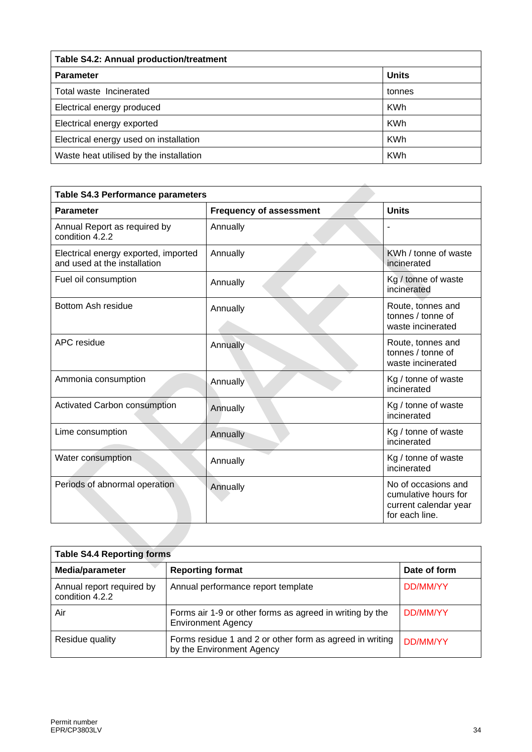| Table S4.2: Annual production/treatment |              |  |
|-----------------------------------------|--------------|--|
| <b>Parameter</b>                        | <b>Units</b> |  |
| Total waste Incinerated                 | tonnes       |  |
| Electrical energy produced              | <b>KWh</b>   |  |
| Electrical energy exported              | <b>KWh</b>   |  |
| Electrical energy used on installation  | <b>KWh</b>   |  |
| Waste heat utilised by the installation | <b>KWh</b>   |  |

| <b>Parameter</b>                                                     | <b>Frequency of assessment</b> | <b>Units</b>                                                                           |
|----------------------------------------------------------------------|--------------------------------|----------------------------------------------------------------------------------------|
| Annual Report as required by<br>condition 4.2.2                      | Annually                       |                                                                                        |
| Electrical energy exported, imported<br>and used at the installation | Annually                       | KWh / tonne of waste<br>incinerated                                                    |
| Fuel oil consumption                                                 | Annually                       | Kg / tonne of waste<br>incinerated                                                     |
| Bottom Ash residue                                                   | Annually                       | Route, tonnes and<br>tonnes / tonne of<br>waste incinerated                            |
| APC residue                                                          | Annually                       | Route, tonnes and<br>tonnes / tonne of<br>waste incinerated                            |
| Ammonia consumption                                                  | Annually                       | Kg / tonne of waste<br>incinerated                                                     |
| Activated Carbon consumption                                         | Annually                       | Kg / tonne of waste<br>incinerated                                                     |
| Lime consumption                                                     | Annually                       | Kg / tonne of waste<br>incinerated                                                     |
| Water consumption                                                    | Annually                       | Kg / tonne of waste<br>incinerated                                                     |
| Periods of abnormal operation                                        | Annually                       | No of occasions and<br>cumulative hours for<br>current calendar year<br>for each line. |

| <b>Table S4.4 Reporting forms</b>            |                                                                                       |                 |  |
|----------------------------------------------|---------------------------------------------------------------------------------------|-----------------|--|
| Media/parameter                              | <b>Reporting format</b>                                                               | Date of form    |  |
| Annual report required by<br>condition 4.2.2 | Annual performance report template                                                    | DD/MM/YY        |  |
| Air                                          | Forms air 1-9 or other forms as agreed in writing by the<br><b>Environment Agency</b> | <b>DD/MM/YY</b> |  |
| Residue quality                              | Forms residue 1 and 2 or other form as agreed in writing<br>by the Environment Agency | DD/MM/YY        |  |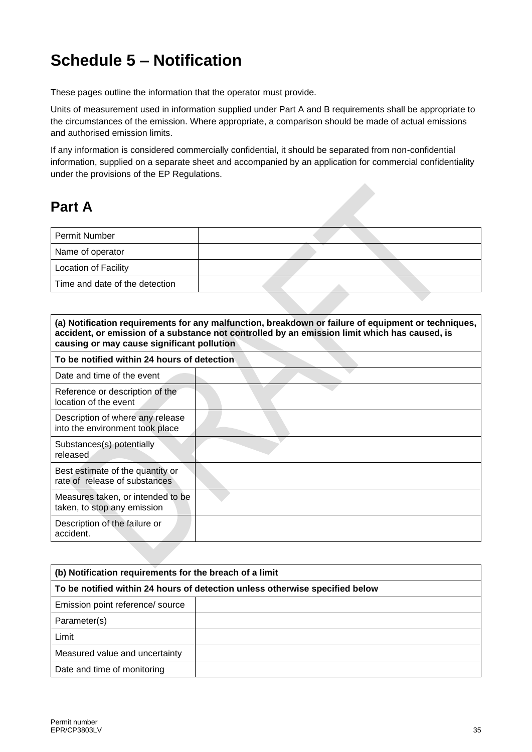## **Schedule 5 – Notification**

These pages outline the information that the operator must provide.

Units of measurement used in information supplied under Part A and B requirements shall be appropriate to the circumstances of the emission. Where appropriate, a comparison should be made of actual emissions and authorised emission limits.

If any information is considered commercially confidential, it should be separated from non-confidential information, supplied on a separate sheet and accompanied by an application for commercial confidentiality under the provisions of the EP Regulations.

### **Part A**

| Permit Number                  |  |  |
|--------------------------------|--|--|
| Name of operator               |  |  |
| <b>Location of Facility</b>    |  |  |
| Time and date of the detection |  |  |
|                                |  |  |

| (a) Notification requirements for any malfunction, breakdown or failure of equipment or techniques,<br>accident, or emission of a substance not controlled by an emission limit which has caused, is<br>causing or may cause significant pollution |  |  |  |
|----------------------------------------------------------------------------------------------------------------------------------------------------------------------------------------------------------------------------------------------------|--|--|--|
| To be notified within 24 hours of detection                                                                                                                                                                                                        |  |  |  |
| Date and time of the event                                                                                                                                                                                                                         |  |  |  |
| Reference or description of the<br>location of the event                                                                                                                                                                                           |  |  |  |
| Description of where any release<br>into the environment took place                                                                                                                                                                                |  |  |  |
| Substances(s) potentially<br>released                                                                                                                                                                                                              |  |  |  |
| Best estimate of the quantity or<br>rate of release of substances                                                                                                                                                                                  |  |  |  |
| Measures taken, or intended to be<br>taken, to stop any emission                                                                                                                                                                                   |  |  |  |
| Description of the failure or<br>accident.                                                                                                                                                                                                         |  |  |  |

| (b) Notification requirements for the breach of a limit                      |  |  |
|------------------------------------------------------------------------------|--|--|
| To be notified within 24 hours of detection unless otherwise specified below |  |  |
| Emission point reference/ source                                             |  |  |
| Parameter(s)                                                                 |  |  |
| Limit                                                                        |  |  |
| Measured value and uncertainty                                               |  |  |
| Date and time of monitoring                                                  |  |  |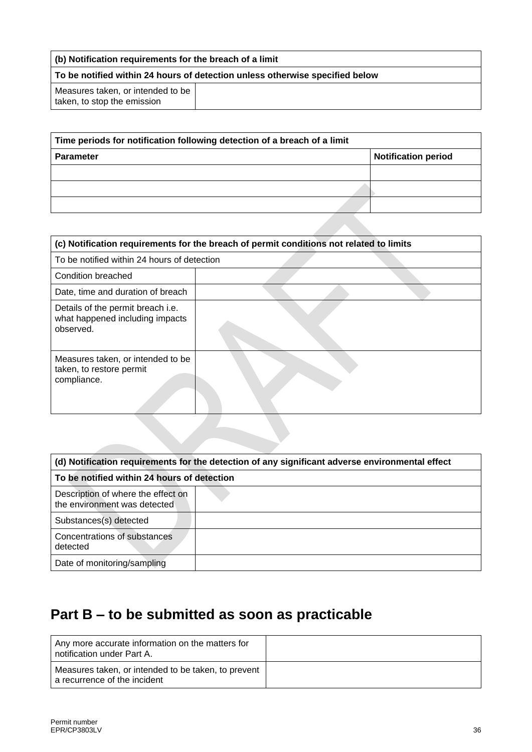| (b) Notification requirements for the breach of a limit                      |  |  |
|------------------------------------------------------------------------------|--|--|
| To be notified within 24 hours of detection unless otherwise specified below |  |  |
| Measures taken, or intended to be<br>taken, to stop the emission             |  |  |

| Time periods for notification following detection of a breach of a limit |                            |  |  |  |
|--------------------------------------------------------------------------|----------------------------|--|--|--|
| <b>Parameter</b>                                                         | <b>Notification period</b> |  |  |  |
|                                                                          |                            |  |  |  |
|                                                                          |                            |  |  |  |
|                                                                          |                            |  |  |  |

| (c) Notification requirements for the breach of permit conditions not related to limits |  |  |  |  |
|-----------------------------------------------------------------------------------------|--|--|--|--|
| To be notified within 24 hours of detection                                             |  |  |  |  |
| Condition breached                                                                      |  |  |  |  |
| Date, time and duration of breach                                                       |  |  |  |  |
| Details of the permit breach i.e.<br>what happened including impacts<br>observed.       |  |  |  |  |
| Measures taken, or intended to be<br>taken, to restore permit<br>compliance.            |  |  |  |  |

| (d) Notification requirements for the detection of any significant adverse environmental effect |  |  |  |  |
|-------------------------------------------------------------------------------------------------|--|--|--|--|
| To be notified within 24 hours of detection                                                     |  |  |  |  |
| Description of where the effect on<br>the environment was detected                              |  |  |  |  |
| Substances(s) detected                                                                          |  |  |  |  |
| Concentrations of substances<br>detected                                                        |  |  |  |  |
| Date of monitoring/sampling                                                                     |  |  |  |  |

## **Part B – to be submitted as soon as practicable**

| Any more accurate information on the matters for<br>I notification under Part A.      |  |
|---------------------------------------------------------------------------------------|--|
| Measures taken, or intended to be taken, to prevent<br>I a recurrence of the incident |  |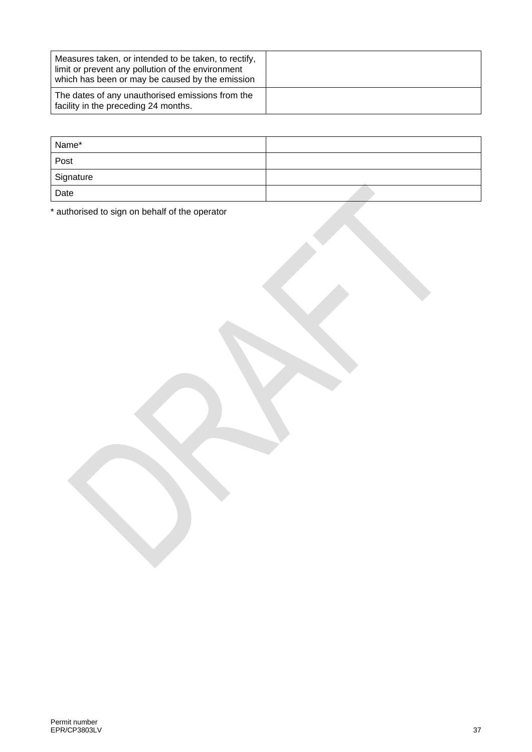| Measures taken, or intended to be taken, to rectify,<br>limit or prevent any pollution of the environment<br>which has been or may be caused by the emission |  |
|--------------------------------------------------------------------------------------------------------------------------------------------------------------|--|
| The dates of any unauthorised emissions from the<br>facility in the preceding 24 months.                                                                     |  |

| Name*     |  |
|-----------|--|
| Post      |  |
| Signature |  |
| Date      |  |

\* authorised to sign on behalf of the operator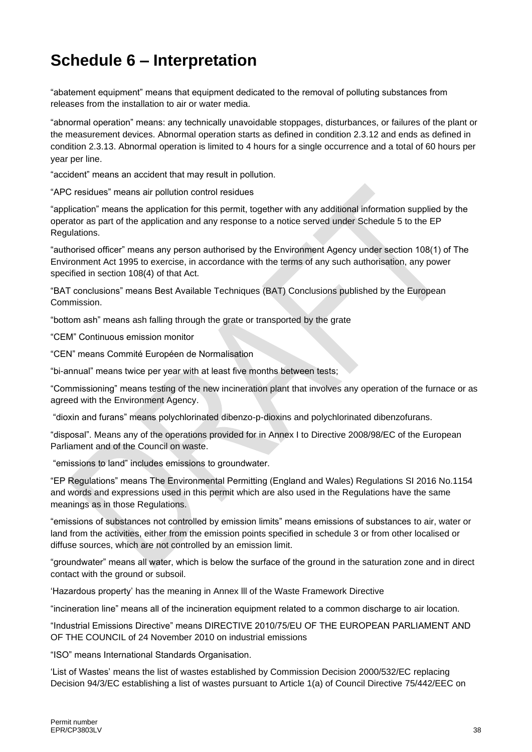## **Schedule 6 – Interpretation**

"abatement equipment" means that equipment dedicated to the removal of polluting substances from releases from the installation to air or water media.

"abnormal operation" means: any technically unavoidable stoppages, disturbances, or failures of the plant or the measurement devices. Abnormal operation starts as defined in condition 2.3.12 and ends as defined in condition 2.3.13. Abnormal operation is limited to 4 hours for a single occurrence and a total of 60 hours per year per line.

"accident" means an accident that may result in pollution.

"APC residues" means air pollution control residues

"application" means the application for this permit, together with any additional information supplied by the operator as part of the application and any response to a notice served under Schedule 5 to the EP Regulations.

"authorised officer" means any person authorised by the Environment Agency under section 108(1) of The Environment Act 1995 to exercise, in accordance with the terms of any such authorisation, any power specified in section 108(4) of that Act.

"BAT conclusions" means Best Available Techniques (BAT) Conclusions published by the European Commission.

"bottom ash" means ash falling through the grate or transported by the grate

"CEM" Continuous emission monitor

"CEN" means Commité Européen de Normalisation

"bi-annual" means twice per year with at least five months between tests;

"Commissioning" means testing of the new incineration plant that involves any operation of the furnace or as agreed with the Environment Agency.

"dioxin and furans" means polychlorinated dibenzo-p-dioxins and polychlorinated dibenzofurans.

"disposal". Means any of the operations provided for in Annex I to Directive 2008/98/EC of the European Parliament and of the Council on waste.

"emissions to land" includes emissions to groundwater.

"EP Regulations" means The Environmental Permitting (England and Wales) Regulations SI 2016 No.1154 and words and expressions used in this permit which are also used in the Regulations have the same meanings as in those Regulations.

"emissions of substances not controlled by emission limits" means emissions of substances to air, water or land from the activities, either from the emission points specified in schedule 3 or from other localised or diffuse sources, which are not controlled by an emission limit.

"groundwater" means all water, which is below the surface of the ground in the saturation zone and in direct contact with the ground or subsoil.

'Hazardous property' has the meaning in Annex lll of the Waste Framework Directive

"incineration line" means all of the incineration equipment related to a common discharge to air location.

"Industrial Emissions Directive" means DIRECTIVE 2010/75/EU OF THE EUROPEAN PARLIAMENT AND OF THE COUNCIL of 24 November 2010 on industrial emissions

"ISO" means International Standards Organisation.

'List of Wastes' means the list of wastes established by Commission Decision [2000/532/EC](http://www.legislation.gov.uk/european/decision/2000/0532) replacing Decision [94/3/EC](http://www.legislation.gov.uk/european/decision/1994/0003) establishing a list of wastes pursuant to Article 1(a) of Council Directive [75/442/EEC](http://www.legislation.gov.uk/european/directive/1975/0442) on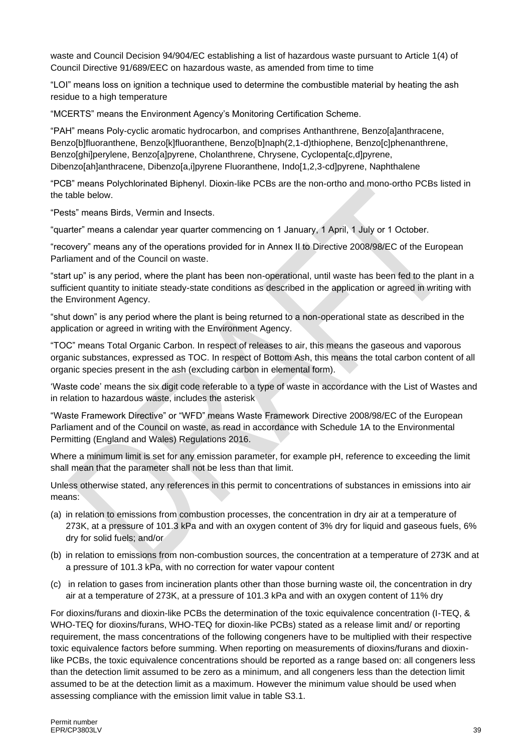waste and Council Decision [94/904/EC](http://www.legislation.gov.uk/european/decision/1994/0904) establishing a list of hazardous waste pursuant to Article 1(4) of Council Directive [91/689/EEC](http://www.legislation.gov.uk/european/decision/1991/0689) on hazardous waste, as amended from time to time

"LOI" means loss on ignition a technique used to determine the combustible material by heating the ash residue to a high temperature

"MCERTS" means the Environment Agency's Monitoring Certification Scheme.

"PAH" means Poly-cyclic aromatic hydrocarbon, and comprises Anthanthrene, Benzo[a]anthracene, Benzo[b]fluoranthene, Benzo[k]fluoranthene, Benzo[b]naph(2,1-d)thiophene, Benzo[c]phenanthrene, Benzo[ghi]perylene, Benzo[a]pyrene, Cholanthrene, Chrysene, Cyclopenta[c,d]pyrene, Dibenzo[ah]anthracene, Dibenzo[a,i]pyrene Fluoranthene, Indo[1,2,3-cd]pyrene, Naphthalene

"PCB" means Polychlorinated Biphenyl. Dioxin-like PCBs are the non-ortho and mono-ortho PCBs listed in the table below.

"Pests" means Birds, Vermin and Insects.

"quarter" means a calendar year quarter commencing on 1 January, 1 April, 1 July or 1 October.

"recovery" means any of the operations provided for in Annex II to Directive 2008/98/EC of the European Parliament and of the Council on waste.

"start up" is any period, where the plant has been non-operational, until waste has been fed to the plant in a sufficient quantity to initiate steady-state conditions as described in the application or agreed in writing with the Environment Agency.

"shut down" is any period where the plant is being returned to a non-operational state as described in the application or agreed in writing with the Environment Agency.

"TOC" means Total Organic Carbon. In respect of releases to air, this means the gaseous and vaporous organic substances, expressed as TOC. In respect of Bottom Ash, this means the total carbon content of all organic species present in the ash (excluding carbon in elemental form).

'Waste code' means the six digit code referable to a type of waste in accordance with the List of Wastes and in relation to hazardous waste, includes the asterisk

"Waste Framework Directive" or "WFD" means Waste Framework Directive 2008/98/EC of the European Parliament and of the Council on waste, as read in accordance with Schedule 1A to the Environmental Permitting (England and Wales) Regulations 2016.

Where a minimum limit is set for any emission parameter, for example pH, reference to exceeding the limit shall mean that the parameter shall not be less than that limit.

Unless otherwise stated, any references in this permit to concentrations of substances in emissions into air means:

- (a) in relation to emissions from combustion processes, the concentration in dry air at a temperature of 273K, at a pressure of 101.3 kPa and with an oxygen content of 3% dry for liquid and gaseous fuels, 6% dry for solid fuels; and/or
- (b) in relation to emissions from non-combustion sources, the concentration at a temperature of 273K and at a pressure of 101.3 kPa, with no correction for water vapour content
- (c) in relation to gases from incineration plants other than those burning waste oil, the concentration in dry air at a temperature of 273K, at a pressure of 101.3 kPa and with an oxygen content of 11% dry

For dioxins/furans and dioxin-like PCBs the determination of the toxic equivalence concentration (I-TEQ, & WHO-TEQ for dioxins/furans, WHO-TEQ for dioxin-like PCBs) stated as a release limit and/ or reporting requirement, the mass concentrations of the following congeners have to be multiplied with their respective toxic equivalence factors before summing. When reporting on measurements of dioxins/furans and dioxinlike PCBs, the toxic equivalence concentrations should be reported as a range based on: all congeners less than the detection limit assumed to be zero as a minimum, and all congeners less than the detection limit assumed to be at the detection limit as a maximum. However the minimum value should be used when assessing compliance with the emission limit value in table S3.1.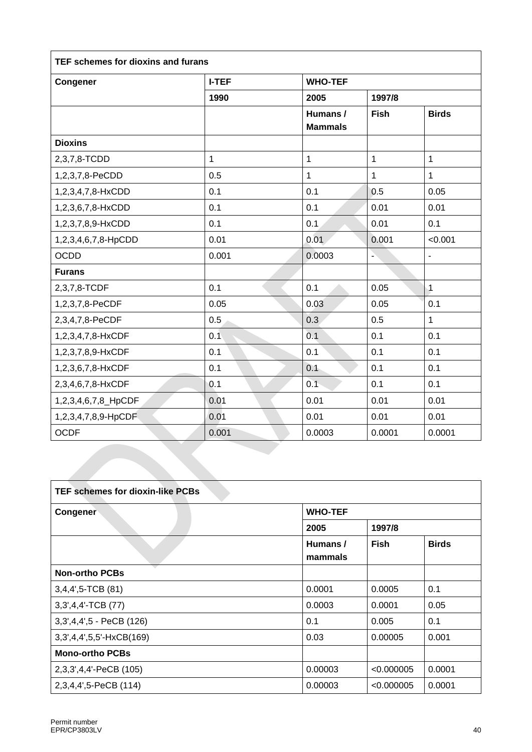| Congener            | <b>I-TEF</b> | <b>WHO-TEF</b>             |              |                          |  |
|---------------------|--------------|----------------------------|--------------|--------------------------|--|
|                     | 1990         | 2005                       | 1997/8       |                          |  |
|                     |              | Humans /<br><b>Mammals</b> | Fish         | <b>Birds</b>             |  |
| <b>Dioxins</b>      |              |                            |              |                          |  |
| 2,3,7,8-TCDD        | $\mathbf{1}$ | $\overline{1}$             | $\mathbf{1}$ | $\overline{1}$           |  |
| 1,2,3,7,8-PeCDD     | 0.5          | 1                          | 1            | $\mathbf{1}$             |  |
| 1,2,3,4,7,8-HxCDD   | 0.1          | 0.1                        | 0.5          | 0.05                     |  |
| 1,2,3,6,7,8-HxCDD   | 0.1          | 0.1                        | 0.01         | 0.01                     |  |
| 1,2,3,7,8,9-HxCDD   | 0.1          | 0.1                        | 0.01         | 0.1                      |  |
| 1,2,3,4,6,7,8-HpCDD | 0.01         | 0.01                       | 0.001        | < 0.001                  |  |
| <b>OCDD</b>         | 0.001        | 0.0003                     | ÷            | $\overline{\phantom{a}}$ |  |
| <b>Furans</b>       |              |                            |              |                          |  |
| 2,3,7,8-TCDF        | 0.1          | 0.1                        | 0.05         | $\overline{1}$           |  |
| 1,2,3,7,8-PeCDF     | 0.05         | 0.03                       | 0.05         | 0.1                      |  |
| 2,3,4,7,8-PeCDF     | 0.5          | 0.3                        | 0.5          | $\mathbf{1}$             |  |
| 1,2,3,4,7,8-HxCDF   | 0.1          | 0.1                        | 0.1          | 0.1                      |  |
| 1,2,3,7,8,9-HxCDF   | 0.1          | 0.1                        | 0.1          | 0.1                      |  |
| 1,2,3,6,7,8-HxCDF   | 0.1          | 0.1                        | 0.1          | 0.1                      |  |
| 2,3,4,6,7,8-HxCDF   | 0.1          | 0.1                        | 0.1          | 0.1                      |  |
| 1,2,3,4,6,7,8_HpCDF | 0.01         | 0.01                       | 0.01         | 0.01                     |  |
| 1,2,3,4,7,8,9-HpCDF | 0.01         | 0.01                       | 0.01         | 0.01                     |  |
| <b>OCDF</b>         | 0.001        | 0.0003                     | 0.0001       | 0.0001                   |  |

| <b>TEF schemes for dioxin-like PCBs</b> |                     |             |              |  |
|-----------------------------------------|---------------------|-------------|--------------|--|
| Congener                                | <b>WHO-TEF</b>      |             |              |  |
|                                         | 2005                | 1997/8      |              |  |
|                                         | Humans /<br>mammals | <b>Fish</b> | <b>Birds</b> |  |
| <b>Non-ortho PCBs</b>                   |                     |             |              |  |
| $3,4,4',5$ -TCB $(81)$                  | 0.0001              | 0.0005      | 0.1          |  |
| 3,3',4,4'-TCB (77)                      | 0.0003              | 0.0001      | 0.05         |  |
| 3,3',4,4',5 - PeCB (126)                | 0.1                 | 0.005       | 0.1          |  |
| 3,3',4,4',5,5'-HxCB(169)                | 0.03                | 0.00005     | 0.001        |  |
| <b>Mono-ortho PCBs</b>                  |                     |             |              |  |
| 2,3,3',4,4'-PeCB (105)                  | 0.00003             | < 0.000005  | 0.0001       |  |
| 2,3,4,4',5-PeCB (114)                   | 0.00003             | < 0.000005  | 0.0001       |  |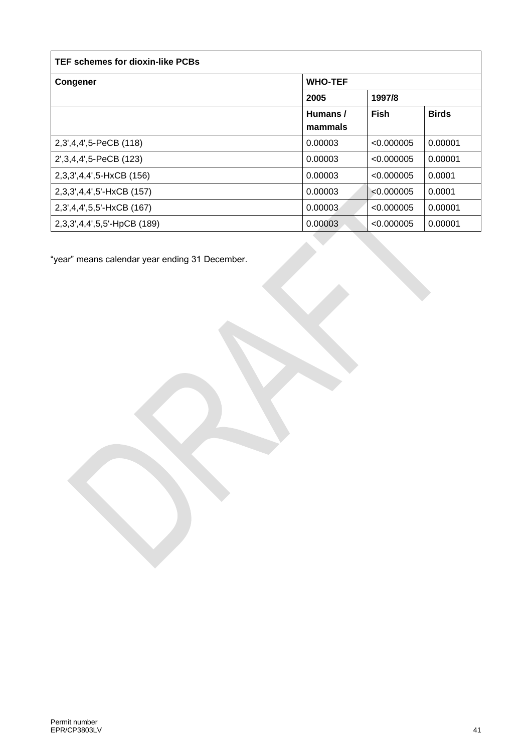| TEF schemes for dioxin-like PCBs |                |            |              |
|----------------------------------|----------------|------------|--------------|
| <b>Congener</b>                  | <b>WHO-TEF</b> |            |              |
|                                  | 2005<br>1997/8 |            |              |
|                                  | Humans /       | Fish       | <b>Birds</b> |
|                                  | mammals        |            |              |
| 2,3',4,4',5-PeCB (118)           | 0.00003        | < 0.000005 | 0.00001      |
| 2', 3, 4, 4', 5-PeCB (123)       | 0.00003        | < 0.000005 | 0.00001      |
| 2,3,3',4,4',5-HxCB (156)         | 0.00003        | < 0.000005 | 0.0001       |
| 2,3,3',4,4',5'-HxCB (157)        | 0.00003        | < 0.000005 | 0.0001       |
| 2,3',4,4',5,5'-HxCB (167)        | 0.00003        | < 0.000005 | 0.00001      |
| 2,3,3',4,4',5,5'-HpCB (189)      | 0.00003        | < 0.000005 | 0.00001      |

"year" means calendar year ending 31 December.